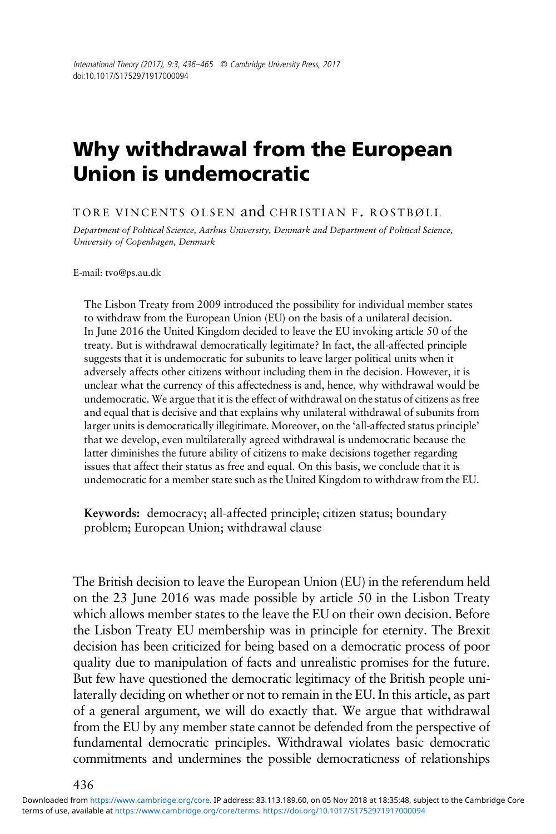# Why withdrawal from the European Union is undemocratic

TORE VINCENTS OLSEN and CHRISTIAN F. ROSTBØLL

Department of Political Science, Aarhus University, Denmark and Department of Political Science, University of Copenhagen, Denmark

E-mail: [tvo@ps.au.dk](mailto:tvo@ps.au.dk)

The Lisbon Treaty from 2009 introduced the possibility for individual member states to withdraw from the European Union (EU) on the basis of a unilateral decision. In June 2016 the United Kingdom decided to leave the EU invoking article 50 of the treaty. But is withdrawal democratically legitimate? In fact, the all-affected principle suggests that it is undemocratic for subunits to leave larger political units when it adversely affects other citizens without including them in the decision. However, it is unclear what the currency of this affectedness is and, hence, why withdrawal would be undemocratic. We argue that it is the effect of withdrawal on the status of citizens as free and equal that is decisive and that explains why unilateral withdrawal of subunits from larger units is democratically illegitimate. Moreover, on the 'all-affected status principle' that we develop, even multilaterally agreed withdrawal is undemocratic because the latter diminishes the future ability of citizens to make decisions together regarding issues that affect their status as free and equal. On this basis, we conclude that it is undemocratic for a member state such as the United Kingdom to withdraw from the EU.

Keywords: democracy; all-affected principle; citizen status; boundary problem; European Union; withdrawal clause

The British decision to leave the European Union (EU) in the referendum held on the 23 June 2016 was made possible by article 50 in the Lisbon Treaty which allows member states to the leave the EU on their own decision. Before the Lisbon Treaty EU membership was in principle for eternity. The Brexit decision has been criticized for being based on a democratic process of poor quality due to manipulation of facts and unrealistic promises for the future. But few have questioned the democratic legitimacy of the British people unilaterally deciding on whether or not to remain in the EU. In this article, as part of a general argument, we will do exactly that. We argue that withdrawal from the EU by any member state cannot be defended from the perspective of fundamental democratic principles. Withdrawal violates basic democratic commitments and undermines the possible democraticness of relationships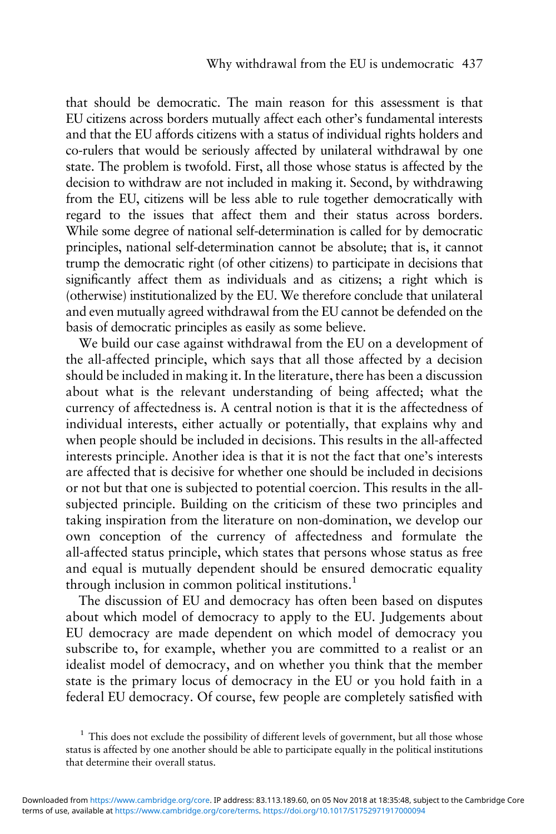that should be democratic. The main reason for this assessment is that EU citizens across borders mutually affect each other's fundamental interests and that the EU affords citizens with a status of individual rights holders and co-rulers that would be seriously affected by unilateral withdrawal by one state. The problem is twofold. First, all those whose status is affected by the decision to withdraw are not included in making it. Second, by withdrawing from the EU, citizens will be less able to rule together democratically with regard to the issues that affect them and their status across borders. While some degree of national self-determination is called for by democratic principles, national self-determination cannot be absolute; that is, it cannot trump the democratic right (of other citizens) to participate in decisions that significantly affect them as individuals and as citizens; a right which is (otherwise) institutionalized by the EU. We therefore conclude that unilateral and even mutually agreed withdrawal from the EU cannot be defended on the basis of democratic principles as easily as some believe.

We build our case against withdrawal from the EU on a development of the all-affected principle, which says that all those affected by a decision should be included in making it. In the literature, there has been a discussion about what is the relevant understanding of being affected; what the currency of affectedness is. A central notion is that it is the affectedness of individual interests, either actually or potentially, that explains why and when people should be included in decisions. This results in the all-affected interests principle. Another idea is that it is not the fact that one's interests are affected that is decisive for whether one should be included in decisions or not but that one is subjected to potential coercion. This results in the allsubjected principle. Building on the criticism of these two principles and taking inspiration from the literature on non-domination, we develop our own conception of the currency of affectedness and formulate the all-affected status principle, which states that persons whose status as free and equal is mutually dependent should be ensured democratic equality through inclusion in common political institutions.<sup>1</sup>

The discussion of EU and democracy has often been based on disputes about which model of democracy to apply to the EU. Judgements about EU democracy are made dependent on which model of democracy you subscribe to, for example, whether you are committed to a realist or an idealist model of democracy, and on whether you think that the member state is the primary locus of democracy in the EU or you hold faith in a federal EU democracy. Of course, few people are completely satisfied with

 $<sup>1</sup>$  This does not exclude the possibility of different levels of government, but all those whose</sup> status is affected by one another should be able to participate equally in the political institutions that determine their overall status.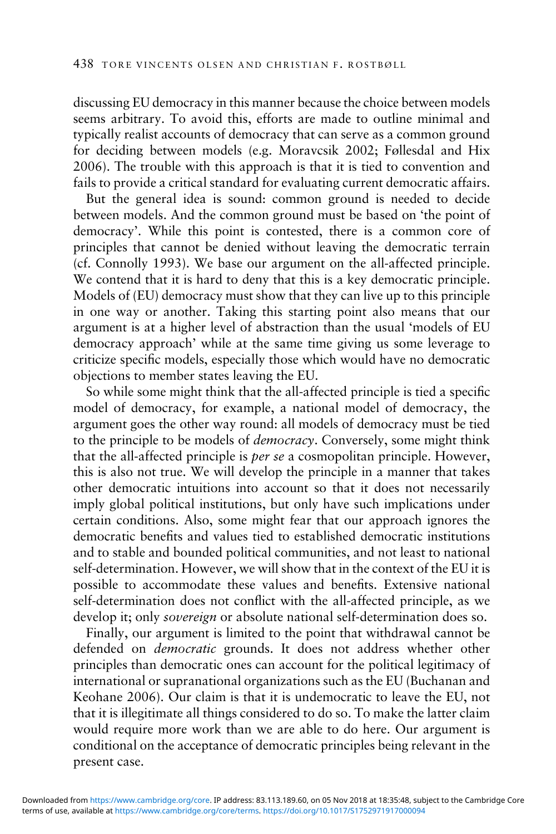discussing EU democracy in this manner because the choice between models seems arbitrary. To avoid this, efforts are made to outline minimal and typically realist accounts of democracy that can serve as a common ground for deciding between models (e.g. Moravcsik [2002](#page-28-0); Føllesdal and Hix [2006](#page-27-0)). The trouble with this approach is that it is tied to convention and fails to provide a critical standard for evaluating current democratic affairs.

But the general idea is sound: common ground is needed to decide between models. And the common ground must be based on 'the point of democracy'. While this point is contested, there is a common core of principles that cannot be denied without leaving the democratic terrain (cf. Connolly [1993\)](#page-26-0). We base our argument on the all-affected principle. We contend that it is hard to deny that this is a key democratic principle. Models of (EU) democracy must show that they can live up to this principle in one way or another. Taking this starting point also means that our argument is at a higher level of abstraction than the usual 'models of EU democracy approach' while at the same time giving us some leverage to criticize specific models, especially those which would have no democratic objections to member states leaving the EU.

So while some might think that the all-affected principle is tied a specific model of democracy, for example, a national model of democracy, the argument goes the other way round: all models of democracy must be tied to the principle to be models of democracy. Conversely, some might think that the all-affected principle is per se a cosmopolitan principle. However, this is also not true. We will develop the principle in a manner that takes other democratic intuitions into account so that it does not necessarily imply global political institutions, but only have such implications under certain conditions. Also, some might fear that our approach ignores the democratic benefits and values tied to established democratic institutions and to stable and bounded political communities, and not least to national self-determination. However, we will show that in the context of the EU it is possible to accommodate these values and benefits. Extensive national self-determination does not conflict with the all-affected principle, as we develop it; only sovereign or absolute national self-determination does so.

Finally, our argument is limited to the point that withdrawal cannot be defended on democratic grounds. It does not address whether other principles than democratic ones can account for the political legitimacy of international or supranational organizations such as the EU (Buchanan and Keohane [2006\)](#page-26-0). Our claim is that it is undemocratic to leave the EU, not that it is illegitimate all things considered to do so. To make the latter claim would require more work than we are able to do here. Our argument is conditional on the acceptance of democratic principles being relevant in the present case.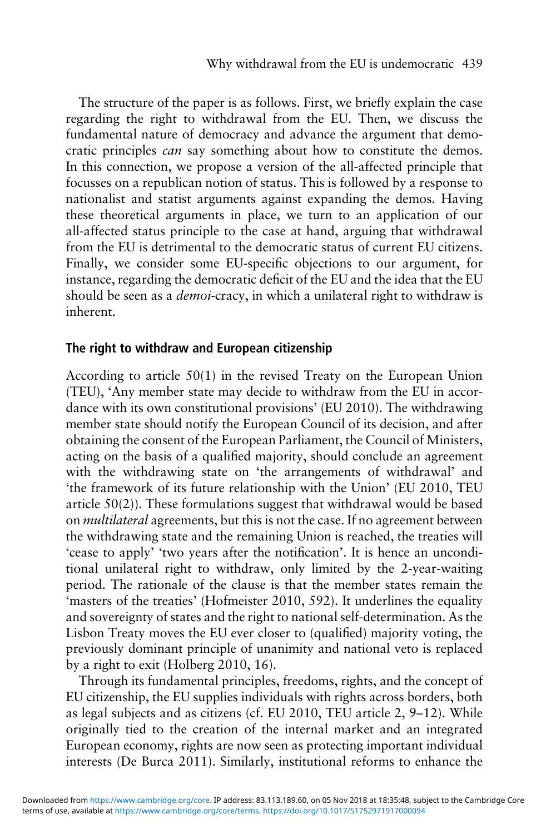The structure of the paper is as follows. First, we briefly explain the case regarding the right to withdrawal from the EU. Then, we discuss the fundamental nature of democracy and advance the argument that democratic principles can say something about how to constitute the demos. In this connection, we propose a version of the all-affected principle that focusses on a republican notion of status. This is followed by a response to nationalist and statist arguments against expanding the demos. Having these theoretical arguments in place, we turn to an application of our all-affected status principle to the case at hand, arguing that withdrawal from the EU is detrimental to the democratic status of current EU citizens. Finally, we consider some EU-specific objections to our argument, for instance, regarding the democratic deficit of the EU and the idea that the EU should be seen as a demoi-cracy, in which a unilateral right to withdraw is inherent.

## The right to withdraw and European citizenship

According to article 50(1) in the revised Treaty on the European Union (TEU), 'Any member state may decide to withdraw from the EU in accordance with its own constitutional provisions' (EU [2010](#page-27-0)). The withdrawing member state should notify the European Council of its decision, and after obtaining the consent of the European Parliament, the Council of Ministers, acting on the basis of a qualified majority, should conclude an agreement with the withdrawing state on 'the arrangements of withdrawal' and 'the framework of its future relationship with the Union' (EU [2010,](#page-27-0) TEU article 50(2)). These formulations suggest that withdrawal would be based on multilateral agreements, but this is not the case. If no agreement between the withdrawing state and the remaining Union is reached, the treaties will 'cease to apply' 'two years after the notification'. It is hence an unconditional unilateral right to withdraw, only limited by the 2-year-waiting period. The rationale of the clause is that the member states remain the 'masters of the treaties' (Hofmeister [2010](#page-27-0), 592). It underlines the equality and sovereignty of states and the right to national self-determination. As the Lisbon Treaty moves the EU ever closer to (qualified) majority voting, the previously dominant principle of unanimity and national veto is replaced by a right to exit (Holberg [2010](#page-27-0), 16).

Through its fundamental principles, freedoms, rights, and the concept of EU citizenship, the EU supplies individuals with rights across borders, both as legal subjects and as citizens (cf. EU [2010](#page-27-0), TEU article 2, 9–12). While originally tied to the creation of the internal market and an integrated European economy, rights are now seen as protecting important individual interests (De Burca [2011](#page-27-0)). Similarly, institutional reforms to enhance the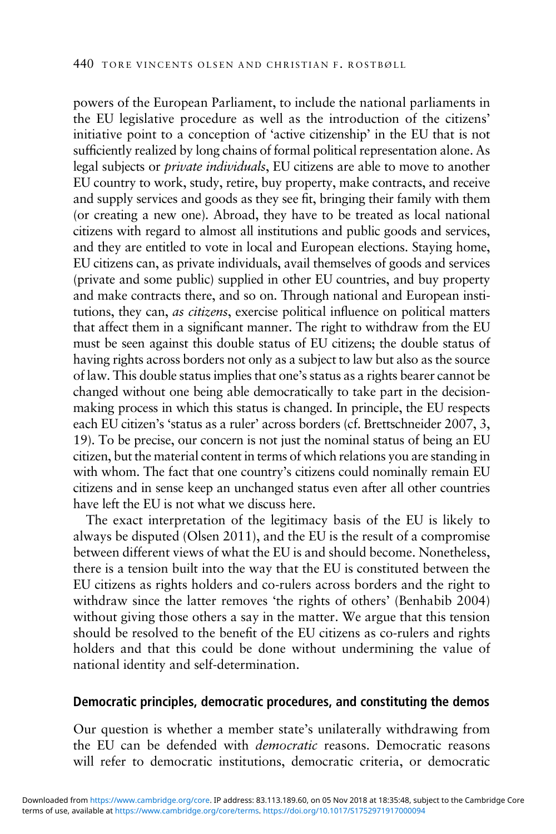powers of the European Parliament, to include the national parliaments in the EU legislative procedure as well as the introduction of the citizens' initiative point to a conception of 'active citizenship' in the EU that is not sufficiently realized by long chains of formal political representation alone. As legal subjects or private individuals, EU citizens are able to move to another EU country to work, study, retire, buy property, make contracts, and receive and supply services and goods as they see fit, bringing their family with them (or creating a new one). Abroad, they have to be treated as local national citizens with regard to almost all institutions and public goods and services, and they are entitled to vote in local and European elections. Staying home, EU citizens can, as private individuals, avail themselves of goods and services (private and some public) supplied in other EU countries, and buy property and make contracts there, and so on. Through national and European institutions, they can, as citizens, exercise political influence on political matters that affect them in a significant manner. The right to withdraw from the EU must be seen against this double status of EU citizens; the double status of having rights across borders not only as a subject to law but also as the source of law. This double status implies that one's status as a rights bearer cannot be changed without one being able democratically to take part in the decisionmaking process in which this status is changed. In principle, the EU respects each EU citizen's 'status as a ruler' across borders (cf. Brettschneider [2007](#page-26-0), 3, 19). To be precise, our concern is not just the nominal status of being an EU citizen, but the material content in terms of which relations you are standing in with whom. The fact that one country's citizens could nominally remain EU citizens and in sense keep an unchanged status even after all other countries have left the EU is not what we discuss here.

The exact interpretation of the legitimacy basis of the EU is likely to always be disputed (Olsen [2011](#page-28-0)), and the EU is the result of a compromise between different views of what the EU is and should become. Nonetheless, there is a tension built into the way that the EU is constituted between the EU citizens as rights holders and co-rulers across borders and the right to withdraw since the latter removes 'the rights of others' (Benhabib [2004\)](#page-26-0) without giving those others a say in the matter. We argue that this tension should be resolved to the benefit of the EU citizens as co-rulers and rights holders and that this could be done without undermining the value of national identity and self-determination.

## Democratic principles, democratic procedures, and constituting the demos

Our question is whether a member state's unilaterally withdrawing from the EU can be defended with democratic reasons. Democratic reasons will refer to democratic institutions, democratic criteria, or democratic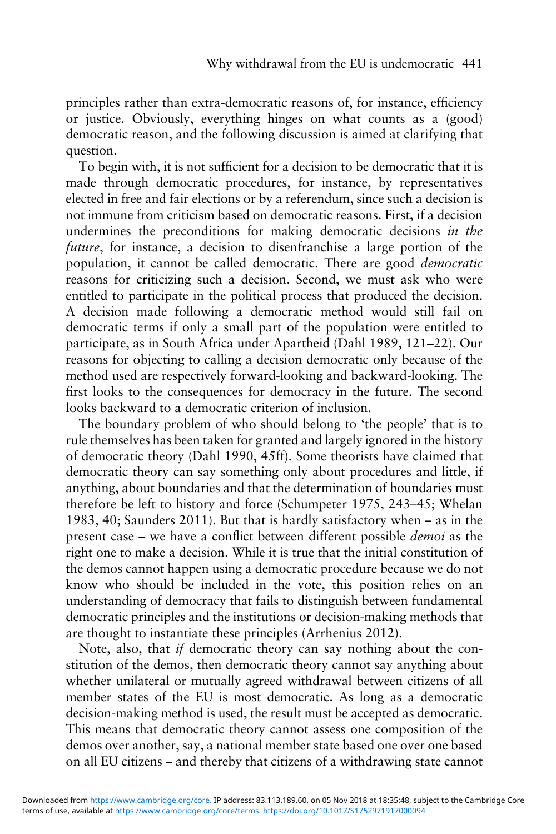principles rather than extra-democratic reasons of, for instance, efficiency or justice. Obviously, everything hinges on what counts as a (good) democratic reason, and the following discussion is aimed at clarifying that question.

To begin with, it is not sufficient for a decision to be democratic that it is made through democratic procedures, for instance, by representatives elected in free and fair elections or by a referendum, since such a decision is not immune from criticism based on democratic reasons. First, if a decision undermines the preconditions for making democratic decisions in the future, for instance, a decision to disenfranchise a large portion of the population, it cannot be called democratic. There are good democratic reasons for criticizing such a decision. Second, we must ask who were entitled to participate in the political process that produced the decision. A decision made following a democratic method would still fail on democratic terms if only a small part of the population were entitled to participate, as in South Africa under Apartheid (Dahl [1989,](#page-27-0) 121–22). Our reasons for objecting to calling a decision democratic only because of the method used are respectively forward-looking and backward-looking. The first looks to the consequences for democracy in the future. The second looks backward to a democratic criterion of inclusion.

The boundary problem of who should belong to 'the people' that is to rule themselves has been taken for granted and largely ignored in the history of democratic theory (Dahl [1990](#page-27-0), 45ff). Some theorists have claimed that democratic theory can say something only about procedures and little, if anything, about boundaries and that the determination of boundaries must therefore be left to history and force (Schumpeter [1975,](#page-28-0) 243–45; Whelan [1983,](#page-29-0) 40; Saunders [2011](#page-28-0)). But that is hardly satisfactory when – as in the present case – we have a conflict between different possible demoi as the right one to make a decision. While it is true that the initial constitution of the demos cannot happen using a democratic procedure because we do not know who should be included in the vote, this position relies on an understanding of democracy that fails to distinguish between fundamental democratic principles and the institutions or decision-making methods that are thought to instantiate these principles (Arrhenius [2012\)](#page-26-0).

Note, also, that if democratic theory can say nothing about the constitution of the demos, then democratic theory cannot say anything about whether unilateral or mutually agreed withdrawal between citizens of all member states of the EU is most democratic. As long as a democratic decision-making method is used, the result must be accepted as democratic. This means that democratic theory cannot assess one composition of the demos over another, say, a national member state based one over one based on all EU citizens – and thereby that citizens of a withdrawing state cannot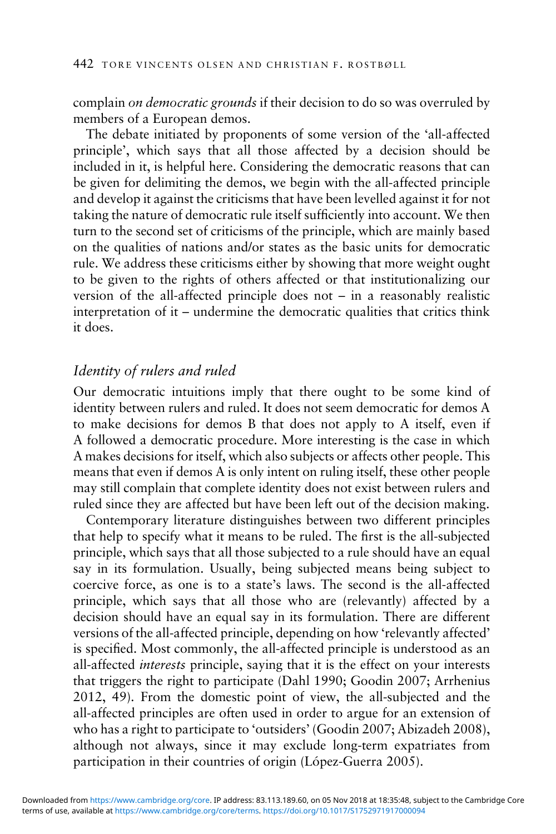complain on democratic grounds if their decision to do so was overruled by members of a European demos.

The debate initiated by proponents of some version of the 'all-affected principle', which says that all those affected by a decision should be included in it, is helpful here. Considering the democratic reasons that can be given for delimiting the demos, we begin with the all-affected principle and develop it against the criticisms that have been levelled against it for not taking the nature of democratic rule itself sufficiently into account. We then turn to the second set of criticisms of the principle, which are mainly based on the qualities of nations and/or states as the basic units for democratic rule. We address these criticisms either by showing that more weight ought to be given to the rights of others affected or that institutionalizing our version of the all-affected principle does not – in a reasonably realistic interpretation of it – undermine the democratic qualities that critics think it does.

## Identity of rulers and ruled

Our democratic intuitions imply that there ought to be some kind of identity between rulers and ruled. It does not seem democratic for demos A to make decisions for demos B that does not apply to A itself, even if A followed a democratic procedure. More interesting is the case in which A makes decisions for itself, which also subjects or affects other people. This means that even if demos A is only intent on ruling itself, these other people may still complain that complete identity does not exist between rulers and ruled since they are affected but have been left out of the decision making.

Contemporary literature distinguishes between two different principles that help to specify what it means to be ruled. The first is the all-subjected principle, which says that all those subjected to a rule should have an equal say in its formulation. Usually, being subjected means being subject to coercive force, as one is to a state's laws. The second is the all-affected principle, which says that all those who are (relevantly) affected by a decision should have an equal say in its formulation. There are different versions of the all-affected principle, depending on how 'relevantly affected' is specified. Most commonly, the all-affected principle is understood as an all-affected interests principle, saying that it is the effect on your interests that triggers the right to participate (Dahl [1990;](#page-27-0) Goodin [2007;](#page-27-0) Arrhenius [2012](#page-26-0), 49). From the domestic point of view, the all-subjected and the all-affected principles are often used in order to argue for an extension of who has a right to participate to 'outsiders' (Goodin [2007](#page-27-0); Abizadeh [2008\)](#page-26-0), although not always, since it may exclude long-term expatriates from participation in their countries of origin (López-Guerra [2005](#page-28-0)).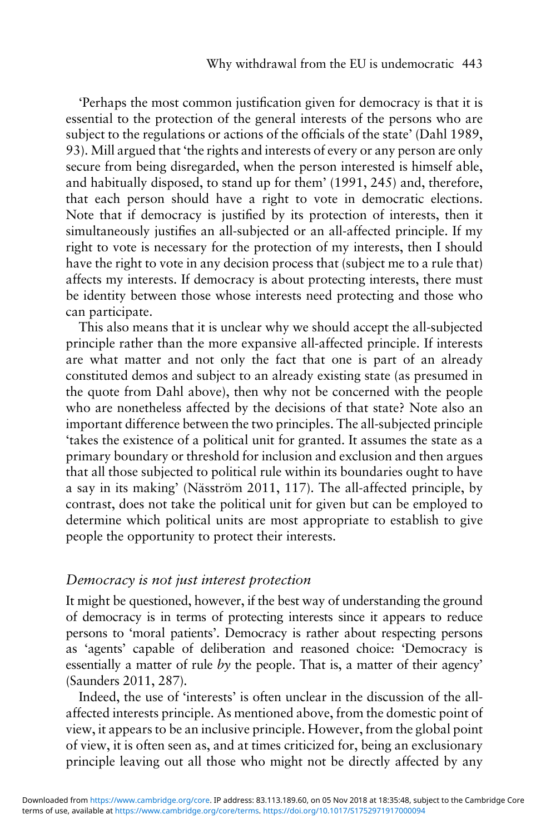'Perhaps the most common justification given for democracy is that it is essential to the protection of the general interests of the persons who are subject to the regulations or actions of the officials of the state' (Dahl [1989](#page-27-0), 93). Mill argued that 'the rights and interests of every or any person are only secure from being disregarded, when the person interested is himself able, and habitually disposed, to stand up for them' ([1991,](#page-28-0) 245) and, therefore, that each person should have a right to vote in democratic elections. Note that if democracy is justified by its protection of interests, then it simultaneously justifies an all-subjected or an all-affected principle. If my right to vote is necessary for the protection of my interests, then I should have the right to vote in any decision process that (subject me to a rule that) affects my interests. If democracy is about protecting interests, there must be identity between those whose interests need protecting and those who can participate.

This also means that it is unclear why we should accept the all-subjected principle rather than the more expansive all-affected principle. If interests are what matter and not only the fact that one is part of an already constituted demos and subject to an already existing state (as presumed in the quote from Dahl above), then why not be concerned with the people who are nonetheless affected by the decisions of that state? Note also an important difference between the two principles. The all-subjected principle 'takes the existence of a political unit for granted. It assumes the state as a primary boundary or threshold for inclusion and exclusion and then argues that all those subjected to political rule within its boundaries ought to have a say in its making' (Näsström [2011](#page-28-0), 117). The all-affected principle, by contrast, does not take the political unit for given but can be employed to determine which political units are most appropriate to establish to give people the opportunity to protect their interests.

#### Democracy is not just interest protection

It might be questioned, however, if the best way of understanding the ground of democracy is in terms of protecting interests since it appears to reduce persons to 'moral patients'. Democracy is rather about respecting persons as 'agents' capable of deliberation and reasoned choice: 'Democracy is essentially a matter of rule by the people. That is, a matter of their agency' (Saunders [2011](#page-28-0), 287).

Indeed, the use of 'interests' is often unclear in the discussion of the allaffected interests principle. As mentioned above, from the domestic point of view, it appears to be an inclusive principle. However, from the global point of view, it is often seen as, and at times criticized for, being an exclusionary principle leaving out all those who might not be directly affected by any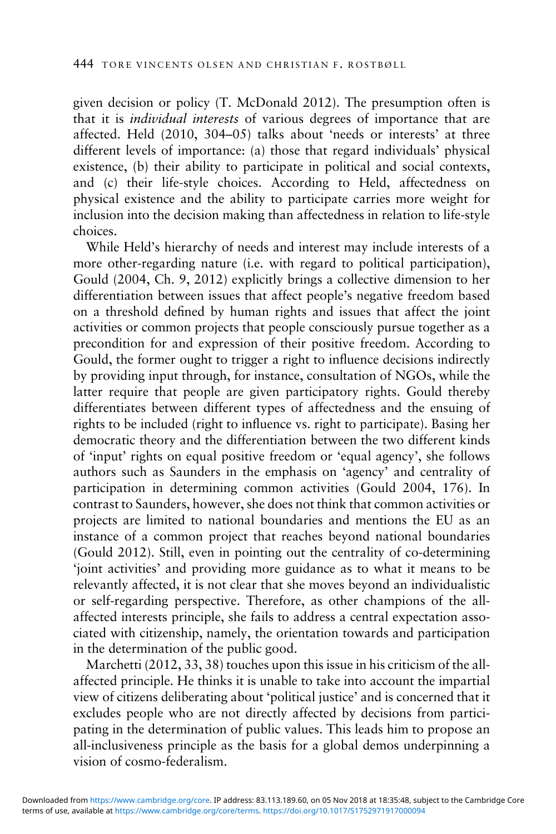given decision or policy (T. McDonald [2012](#page-28-0)). The presumption often is that it is individual interests of various degrees of importance that are affected. Held ([2010](#page-27-0), 304–05) talks about 'needs or interests' at three different levels of importance: (a) those that regard individuals' physical existence, (b) their ability to participate in political and social contexts, and (c) their life-style choices. According to Held, affectedness on physical existence and the ability to participate carries more weight for inclusion into the decision making than affectedness in relation to life-style choices.

While Held's hierarchy of needs and interest may include interests of a more other-regarding nature (i.e. with regard to political participation), Gould ([2004](#page-27-0), Ch. 9, [2012](#page-27-0)) explicitly brings a collective dimension to her differentiation between issues that affect people's negative freedom based on a threshold defined by human rights and issues that affect the joint activities or common projects that people consciously pursue together as a precondition for and expression of their positive freedom. According to Gould, the former ought to trigger a right to influence decisions indirectly by providing input through, for instance, consultation of NGOs, while the latter require that people are given participatory rights. Gould thereby differentiates between different types of affectedness and the ensuing of rights to be included (right to influence vs. right to participate). Basing her democratic theory and the differentiation between the two different kinds of 'input' rights on equal positive freedom or 'equal agency', she follows authors such as Saunders in the emphasis on 'agency' and centrality of participation in determining common activities (Gould [2004,](#page-27-0) 176). In contrast to Saunders, however, she does not think that common activities or projects are limited to national boundaries and mentions the EU as an instance of a common project that reaches beyond national boundaries (Gould [2012\)](#page-27-0). Still, even in pointing out the centrality of co-determining 'joint activities' and providing more guidance as to what it means to be relevantly affected, it is not clear that she moves beyond an individualistic or self-regarding perspective. Therefore, as other champions of the allaffected interests principle, she fails to address a central expectation associated with citizenship, namely, the orientation towards and participation in the determination of the public good.

Marchetti [\(2012,](#page-28-0) 33, 38) touches upon this issue in his criticism of the allaffected principle. He thinks it is unable to take into account the impartial view of citizens deliberating about 'political justice' and is concerned that it excludes people who are not directly affected by decisions from participating in the determination of public values. This leads him to propose an all-inclusiveness principle as the basis for a global demos underpinning a vision of cosmo-federalism.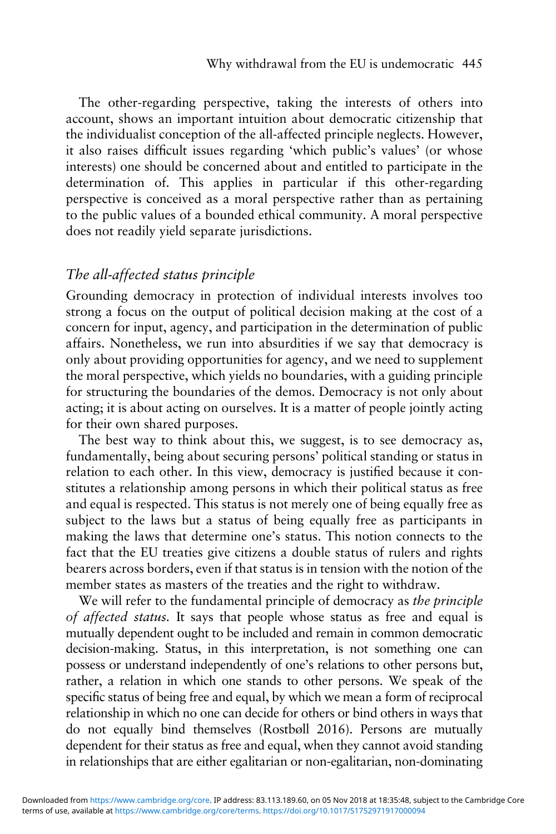The other-regarding perspective, taking the interests of others into account, shows an important intuition about democratic citizenship that the individualist conception of the all-affected principle neglects. However, it also raises difficult issues regarding 'which public's values' (or whose interests) one should be concerned about and entitled to participate in the determination of. This applies in particular if this other-regarding perspective is conceived as a moral perspective rather than as pertaining to the public values of a bounded ethical community. A moral perspective does not readily yield separate jurisdictions.

## The all-affected status principle

Grounding democracy in protection of individual interests involves too strong a focus on the output of political decision making at the cost of a concern for input, agency, and participation in the determination of public affairs. Nonetheless, we run into absurdities if we say that democracy is only about providing opportunities for agency, and we need to supplement the moral perspective, which yields no boundaries, with a guiding principle for structuring the boundaries of the demos. Democracy is not only about acting; it is about acting on ourselves. It is a matter of people jointly acting for their own shared purposes.

The best way to think about this, we suggest, is to see democracy as, fundamentally, being about securing persons' political standing or status in relation to each other. In this view, democracy is justified because it constitutes a relationship among persons in which their political status as free and equal is respected. This status is not merely one of being equally free as subject to the laws but a status of being equally free as participants in making the laws that determine one's status. This notion connects to the fact that the EU treaties give citizens a double status of rulers and rights bearers across borders, even if that status is in tension with the notion of the member states as masters of the treaties and the right to withdraw.

We will refer to the fundamental principle of democracy as the principle of affected status. It says that people whose status as free and equal is mutually dependent ought to be included and remain in common democratic decision-making. Status, in this interpretation, is not something one can possess or understand independently of one's relations to other persons but, rather, a relation in which one stands to other persons. We speak of the specific status of being free and equal, by which we mean a form of reciprocal relationship in which no one can decide for others or bind others in ways that do not equally bind themselves (Rostbøll [2016\)](#page-28-0). Persons are mutually dependent for their status as free and equal, when they cannot avoid standing in relationships that are either egalitarian or non-egalitarian, non-dominating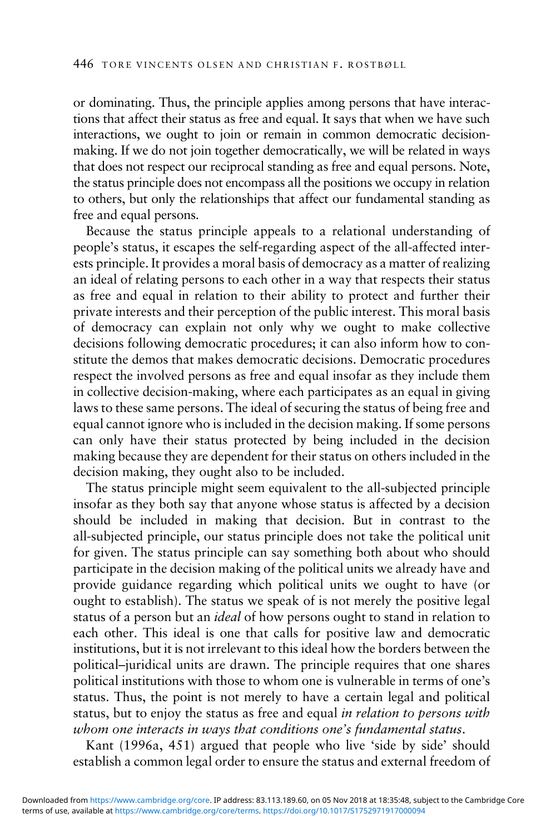or dominating. Thus, the principle applies among persons that have interactions that affect their status as free and equal. It says that when we have such interactions, we ought to join or remain in common democratic decisionmaking. If we do not join together democratically, we will be related in ways that does not respect our reciprocal standing as free and equal persons. Note, the status principle does not encompass all the positions we occupy in relation to others, but only the relationships that affect our fundamental standing as free and equal persons.

Because the status principle appeals to a relational understanding of people's status, it escapes the self-regarding aspect of the all-affected interests principle. It provides a moral basis of democracy as a matter of realizing an ideal of relating persons to each other in a way that respects their status as free and equal in relation to their ability to protect and further their private interests and their perception of the public interest. This moral basis of democracy can explain not only why we ought to make collective decisions following democratic procedures; it can also inform how to constitute the demos that makes democratic decisions. Democratic procedures respect the involved persons as free and equal insofar as they include them in collective decision-making, where each participates as an equal in giving laws to these same persons. The ideal of securing the status of being free and equal cannot ignore who is included in the decision making. If some persons can only have their status protected by being included in the decision making because they are dependent for their status on others included in the decision making, they ought also to be included.

The status principle might seem equivalent to the all-subjected principle insofar as they both say that anyone whose status is affected by a decision should be included in making that decision. But in contrast to the all-subjected principle, our status principle does not take the political unit for given. The status principle can say something both about who should participate in the decision making of the political units we already have and provide guidance regarding which political units we ought to have (or ought to establish). The status we speak of is not merely the positive legal status of a person but an ideal of how persons ought to stand in relation to each other. This ideal is one that calls for positive law and democratic institutions, but it is not irrelevant to this ideal how the borders between the political–juridical units are drawn. The principle requires that one shares political institutions with those to whom one is vulnerable in terms of one's status. Thus, the point is not merely to have a certain legal and political status, but to enjoy the status as free and equal *in relation to persons with* whom one interacts in ways that conditions one's fundamental status.

Kant ([1996a](#page-27-0), 451) argued that people who live 'side by side' should establish a common legal order to ensure the status and external freedom of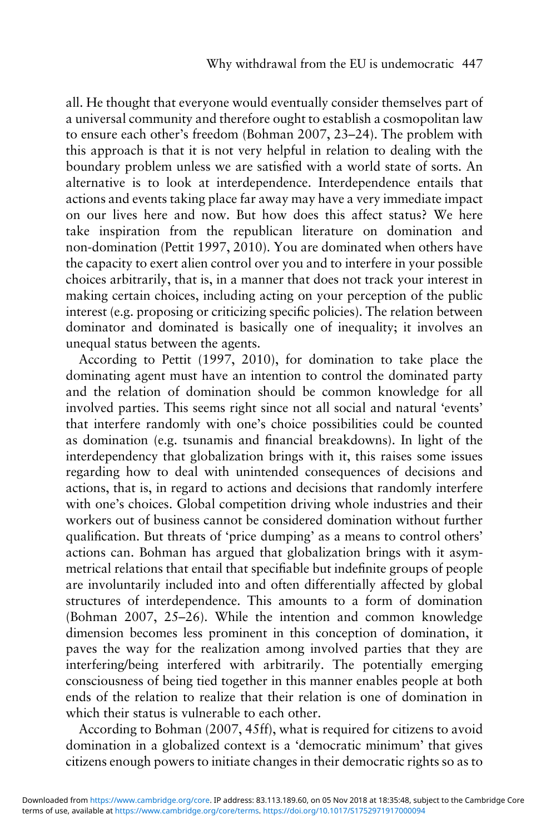all. He thought that everyone would eventually consider themselves part of a universal community and therefore ought to establish a cosmopolitan law to ensure each other's freedom (Bohman [2007](#page-26-0), 23–24). The problem with this approach is that it is not very helpful in relation to dealing with the boundary problem unless we are satisfied with a world state of sorts. An alternative is to look at interdependence. Interdependence entails that actions and events taking place far away may have a very immediate impact on our lives here and now. But how does this affect status? We here take inspiration from the republican literature on domination and non-domination (Pettit [1997, 2010](#page-28-0)). You are dominated when others have the capacity to exert alien control over you and to interfere in your possible choices arbitrarily, that is, in a manner that does not track your interest in making certain choices, including acting on your perception of the public interest (e.g. proposing or criticizing specific policies). The relation between dominator and dominated is basically one of inequality; it involves an unequal status between the agents.

According to Pettit ([1997](#page-28-0), [2010\)](#page-28-0), for domination to take place the dominating agent must have an intention to control the dominated party and the relation of domination should be common knowledge for all involved parties. This seems right since not all social and natural 'events' that interfere randomly with one's choice possibilities could be counted as domination (e.g. tsunamis and financial breakdowns). In light of the interdependency that globalization brings with it, this raises some issues regarding how to deal with unintended consequences of decisions and actions, that is, in regard to actions and decisions that randomly interfere with one's choices. Global competition driving whole industries and their workers out of business cannot be considered domination without further qualification. But threats of 'price dumping' as a means to control others' actions can. Bohman has argued that globalization brings with it asymmetrical relations that entail that specifiable but indefinite groups of people are involuntarily included into and often differentially affected by global structures of interdependence. This amounts to a form of domination (Bohman [2007,](#page-26-0) 25–26). While the intention and common knowledge dimension becomes less prominent in this conception of domination, it paves the way for the realization among involved parties that they are interfering/being interfered with arbitrarily. The potentially emerging consciousness of being tied together in this manner enables people at both ends of the relation to realize that their relation is one of domination in which their status is vulnerable to each other.

According to Bohman [\(2007,](#page-26-0) 45ff), what is required for citizens to avoid domination in a globalized context is a 'democratic minimum' that gives citizens enough powers to initiate changes in their democratic rights so as to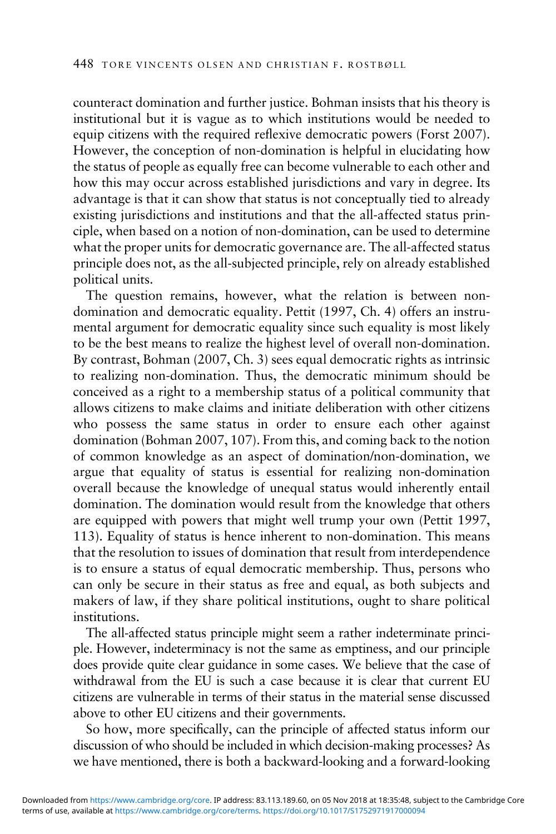counteract domination and further justice. Bohman insists that his theory is institutional but it is vague as to which institutions would be needed to equip citizens with the required reflexive democratic powers (Forst [2007\)](#page-27-0). However, the conception of non-domination is helpful in elucidating how the status of people as equally free can become vulnerable to each other and how this may occur across established jurisdictions and vary in degree. Its advantage is that it can show that status is not conceptually tied to already existing jurisdictions and institutions and that the all-affected status principle, when based on a notion of non-domination, can be used to determine what the proper units for democratic governance are. The all-affected status principle does not, as the all-subjected principle, rely on already established political units.

The question remains, however, what the relation is between nondomination and democratic equality. Pettit ([1997](#page-28-0), Ch. 4) offers an instrumental argument for democratic equality since such equality is most likely to be the best means to realize the highest level of overall non-domination. By contrast, Bohman [\(2007,](#page-26-0) Ch. 3) sees equal democratic rights as intrinsic to realizing non-domination. Thus, the democratic minimum should be conceived as a right to a membership status of a political community that allows citizens to make claims and initiate deliberation with other citizens who possess the same status in order to ensure each other against domination (Bohman [2007,](#page-26-0) 107). From this, and coming back to the notion of common knowledge as an aspect of domination/non-domination, we argue that equality of status is essential for realizing non-domination overall because the knowledge of unequal status would inherently entail domination. The domination would result from the knowledge that others are equipped with powers that might well trump your own (Pettit [1997](#page-28-0), 113). Equality of status is hence inherent to non-domination. This means that the resolution to issues of domination that result from interdependence is to ensure a status of equal democratic membership. Thus, persons who can only be secure in their status as free and equal, as both subjects and makers of law, if they share political institutions, ought to share political institutions.

The all-affected status principle might seem a rather indeterminate principle. However, indeterminacy is not the same as emptiness, and our principle does provide quite clear guidance in some cases. We believe that the case of withdrawal from the EU is such a case because it is clear that current EU citizens are vulnerable in terms of their status in the material sense discussed above to other EU citizens and their governments.

So how, more specifically, can the principle of affected status inform our discussion of who should be included in which decision-making processes? As we have mentioned, there is both a backward-looking and a forward-looking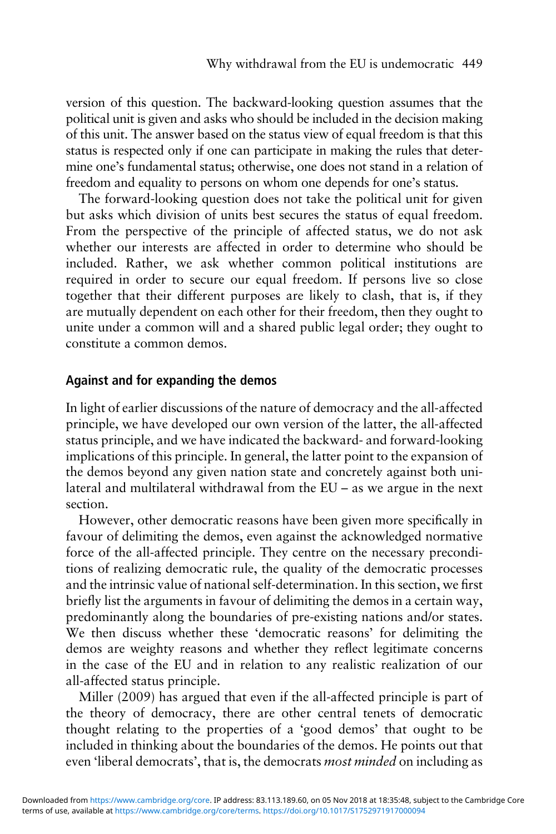version of this question. The backward-looking question assumes that the political unit is given and asks who should be included in the decision making of this unit. The answer based on the status view of equal freedom is that this status is respected only if one can participate in making the rules that determine one's fundamental status; otherwise, one does not stand in a relation of freedom and equality to persons on whom one depends for one's status.

The forward-looking question does not take the political unit for given but asks which division of units best secures the status of equal freedom. From the perspective of the principle of affected status, we do not ask whether our interests are affected in order to determine who should be included. Rather, we ask whether common political institutions are required in order to secure our equal freedom. If persons live so close together that their different purposes are likely to clash, that is, if they are mutually dependent on each other for their freedom, then they ought to unite under a common will and a shared public legal order; they ought to constitute a common demos.

## Against and for expanding the demos

In light of earlier discussions of the nature of democracy and the all-affected principle, we have developed our own version of the latter, the all-affected status principle, and we have indicated the backward- and forward-looking implications of this principle. In general, the latter point to the expansion of the demos beyond any given nation state and concretely against both unilateral and multilateral withdrawal from the EU – as we argue in the next section.

However, other democratic reasons have been given more specifically in favour of delimiting the demos, even against the acknowledged normative force of the all-affected principle. They centre on the necessary preconditions of realizing democratic rule, the quality of the democratic processes and the intrinsic value of national self-determination. In this section, we first briefly list the arguments in favour of delimiting the demos in a certain way, predominantly along the boundaries of pre-existing nations and/or states. We then discuss whether these 'democratic reasons' for delimiting the demos are weighty reasons and whether they reflect legitimate concerns in the case of the EU and in relation to any realistic realization of our all-affected status principle.

Miller [\(2009\)](#page-28-0) has argued that even if the all-affected principle is part of the theory of democracy, there are other central tenets of democratic thought relating to the properties of a 'good demos' that ought to be included in thinking about the boundaries of the demos. He points out that even 'liberal democrats', that is, the democrats *most minded* on including as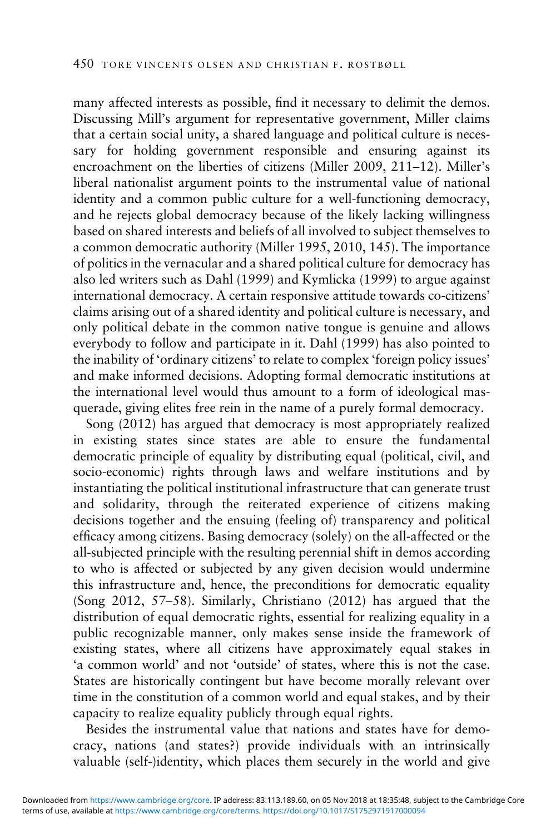many affected interests as possible, find it necessary to delimit the demos. Discussing Mill's argument for representative government, Miller claims that a certain social unity, a shared language and political culture is necessary for holding government responsible and ensuring against its encroachment on the liberties of citizens (Miller [2009,](#page-28-0) 211–12). Miller's liberal nationalist argument points to the instrumental value of national identity and a common public culture for a well-functioning democracy, and he rejects global democracy because of the likely lacking willingness based on shared interests and beliefs of all involved to subject themselves to a common democratic authority (Miller [1995](#page-28-0), [2010,](#page-28-0) 145). The importance of politics in the vernacular and a shared political culture for democracy has also led writers such as Dahl ([1999](#page-27-0)) and Kymlicka ([1999](#page-28-0)) to argue against international democracy. A certain responsive attitude towards co-citizens' claims arising out of a shared identity and political culture is necessary, and only political debate in the common native tongue is genuine and allows everybody to follow and participate in it. Dahl ([1999](#page-27-0)) has also pointed to the inability of 'ordinary citizens' to relate to complex 'foreign policy issues' and make informed decisions. Adopting formal democratic institutions at the international level would thus amount to a form of ideological masquerade, giving elites free rein in the name of a purely formal democracy.

Song [\(2012\)](#page-28-0) has argued that democracy is most appropriately realized in existing states since states are able to ensure the fundamental democratic principle of equality by distributing equal (political, civil, and socio-economic) rights through laws and welfare institutions and by instantiating the political institutional infrastructure that can generate trust and solidarity, through the reiterated experience of citizens making decisions together and the ensuing (feeling of) transparency and political efficacy among citizens. Basing democracy (solely) on the all-affected or the all-subjected principle with the resulting perennial shift in demos according to who is affected or subjected by any given decision would undermine this infrastructure and, hence, the preconditions for democratic equality (Song [2012](#page-28-0), 57–58). Similarly, Christiano ([2012](#page-26-0)) has argued that the distribution of equal democratic rights, essential for realizing equality in a public recognizable manner, only makes sense inside the framework of existing states, where all citizens have approximately equal stakes in 'a common world' and not 'outside' of states, where this is not the case. States are historically contingent but have become morally relevant over time in the constitution of a common world and equal stakes, and by their capacity to realize equality publicly through equal rights.

Besides the instrumental value that nations and states have for democracy, nations (and states?) provide individuals with an intrinsically valuable (self-)identity, which places them securely in the world and give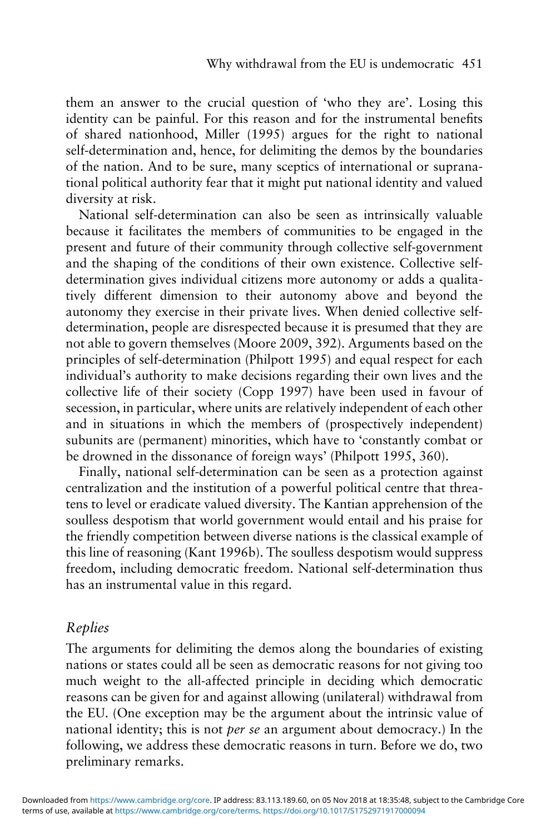them an answer to the crucial question of 'who they are'. Losing this identity can be painful. For this reason and for the instrumental benefits of shared nationhood, Miller ([1995](#page-28-0)) argues for the right to national self-determination and, hence, for delimiting the demos by the boundaries of the nation. And to be sure, many sceptics of international or supranational political authority fear that it might put national identity and valued diversity at risk.

National self-determination can also be seen as intrinsically valuable because it facilitates the members of communities to be engaged in the present and future of their community through collective self-government and the shaping of the conditions of their own existence. Collective selfdetermination gives individual citizens more autonomy or adds a qualitatively different dimension to their autonomy above and beyond the autonomy they exercise in their private lives. When denied collective selfdetermination, people are disrespected because it is presumed that they are not able to govern themselves (Moore [2009](#page-28-0), 392). Arguments based on the principles of self-determination (Philpott [1995](#page-28-0)) and equal respect for each individual's authority to make decisions regarding their own lives and the collective life of their society (Copp [1997](#page-26-0)) have been used in favour of secession, in particular, where units are relatively independent of each other and in situations in which the members of (prospectively independent) subunits are (permanent) minorities, which have to 'constantly combat or be drowned in the dissonance of foreign ways' (Philpott [1995](#page-28-0), 360).

Finally, national self-determination can be seen as a protection against centralization and the institution of a powerful political centre that threatens to level or eradicate valued diversity. The Kantian apprehension of the soulless despotism that world government would entail and his praise for the friendly competition between diverse nations is the classical example of this line of reasoning (Kant [1996b](#page-27-0)). The soulless despotism would suppress freedom, including democratic freedom. National self-determination thus has an instrumental value in this regard.

## Replies

The arguments for delimiting the demos along the boundaries of existing nations or states could all be seen as democratic reasons for not giving too much weight to the all-affected principle in deciding which democratic reasons can be given for and against allowing (unilateral) withdrawal from the EU. (One exception may be the argument about the intrinsic value of national identity; this is not *per se* an argument about democracy.) In the following, we address these democratic reasons in turn. Before we do, two preliminary remarks.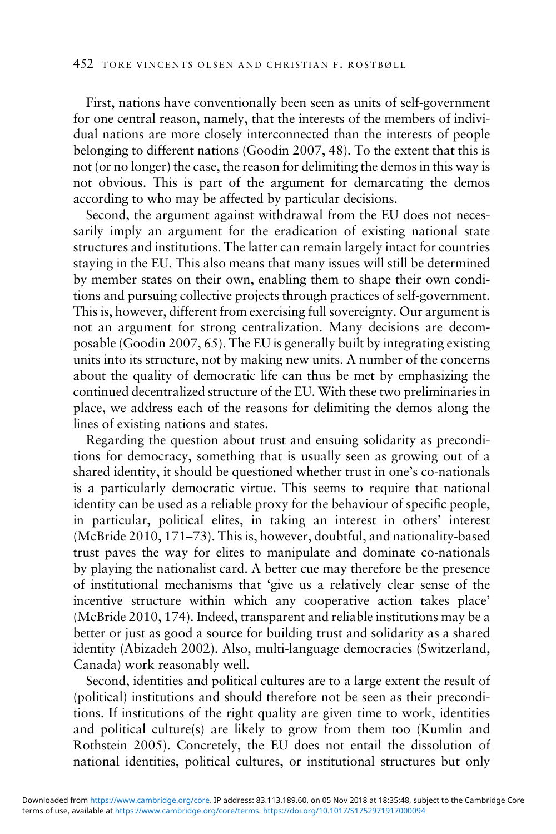First, nations have conventionally been seen as units of self-government for one central reason, namely, that the interests of the members of individual nations are more closely interconnected than the interests of people belonging to different nations (Goodin [2007](#page-27-0), 48). To the extent that this is not (or no longer) the case, the reason for delimiting the demos in this way is not obvious. This is part of the argument for demarcating the demos according to who may be affected by particular decisions.

Second, the argument against withdrawal from the EU does not necessarily imply an argument for the eradication of existing national state structures and institutions. The latter can remain largely intact for countries staying in the EU. This also means that many issues will still be determined by member states on their own, enabling them to shape their own conditions and pursuing collective projects through practices of self-government. This is, however, different from exercising full sovereignty. Our argument is not an argument for strong centralization. Many decisions are decomposable (Goodin [2007](#page-27-0), 65). The EU is generally built by integrating existing units into its structure, not by making new units. A number of the concerns about the quality of democratic life can thus be met by emphasizing the continued decentralized structure of the EU. With these two preliminaries in place, we address each of the reasons for delimiting the demos along the lines of existing nations and states.

Regarding the question about trust and ensuing solidarity as preconditions for democracy, something that is usually seen as growing out of a shared identity, it should be questioned whether trust in one's co-nationals is a particularly democratic virtue. This seems to require that national identity can be used as a reliable proxy for the behaviour of specific people, in particular, political elites, in taking an interest in others' interest (McBride [2010](#page-28-0), 171–73). This is, however, doubtful, and nationality-based trust paves the way for elites to manipulate and dominate co-nationals by playing the nationalist card. A better cue may therefore be the presence of institutional mechanisms that 'give us a relatively clear sense of the incentive structure within which any cooperative action takes place' (McBride [2010](#page-28-0), 174). Indeed, transparent and reliable institutions may be a better or just as good a source for building trust and solidarity as a shared identity (Abizadeh [2002\)](#page-26-0). Also, multi-language democracies (Switzerland, Canada) work reasonably well.

Second, identities and political cultures are to a large extent the result of (political) institutions and should therefore not be seen as their preconditions. If institutions of the right quality are given time to work, identities and political culture(s) are likely to grow from them too (Kumlin and Rothstein [2005](#page-27-0)). Concretely, the EU does not entail the dissolution of national identities, political cultures, or institutional structures but only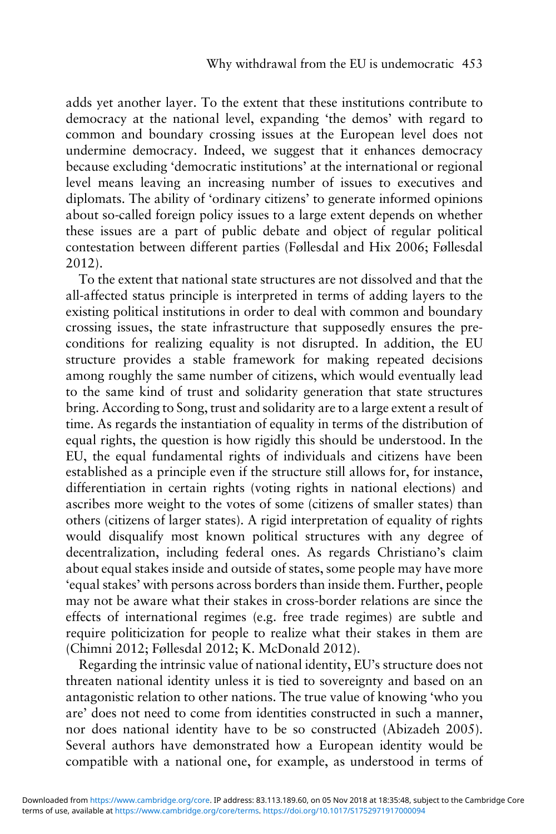adds yet another layer. To the extent that these institutions contribute to democracy at the national level, expanding 'the demos' with regard to common and boundary crossing issues at the European level does not undermine democracy. Indeed, we suggest that it enhances democracy because excluding 'democratic institutions' at the international or regional level means leaving an increasing number of issues to executives and diplomats. The ability of 'ordinary citizens' to generate informed opinions about so-called foreign policy issues to a large extent depends on whether these issues are a part of public debate and object of regular political contestation between different parties (Føllesdal and Hix [2006](#page-27-0); Føllesdal [2012\)](#page-27-0).

To the extent that national state structures are not dissolved and that the all-affected status principle is interpreted in terms of adding layers to the existing political institutions in order to deal with common and boundary crossing issues, the state infrastructure that supposedly ensures the preconditions for realizing equality is not disrupted. In addition, the EU structure provides a stable framework for making repeated decisions among roughly the same number of citizens, which would eventually lead to the same kind of trust and solidarity generation that state structures bring. According to Song, trust and solidarity are to a large extent a result of time. As regards the instantiation of equality in terms of the distribution of equal rights, the question is how rigidly this should be understood. In the EU, the equal fundamental rights of individuals and citizens have been established as a principle even if the structure still allows for, for instance, differentiation in certain rights (voting rights in national elections) and ascribes more weight to the votes of some (citizens of smaller states) than others (citizens of larger states). A rigid interpretation of equality of rights would disqualify most known political structures with any degree of decentralization, including federal ones. As regards Christiano's claim about equal stakes inside and outside of states, some people may have more 'equal stakes' with persons across borders than inside them. Further, people may not be aware what their stakes in cross-border relations are since the effects of international regimes (e.g. free trade regimes) are subtle and require politicization for people to realize what their stakes in them are (Chimni [2012](#page-26-0); Føllesdal [2012;](#page-27-0) K. McDonald [2012](#page-28-0)).

Regarding the intrinsic value of national identity, EU's structure does not threaten national identity unless it is tied to sovereignty and based on an antagonistic relation to other nations. The true value of knowing 'who you are' does not need to come from identities constructed in such a manner, nor does national identity have to be so constructed (Abizadeh [2005](#page-26-0)). Several authors have demonstrated how a European identity would be compatible with a national one, for example, as understood in terms of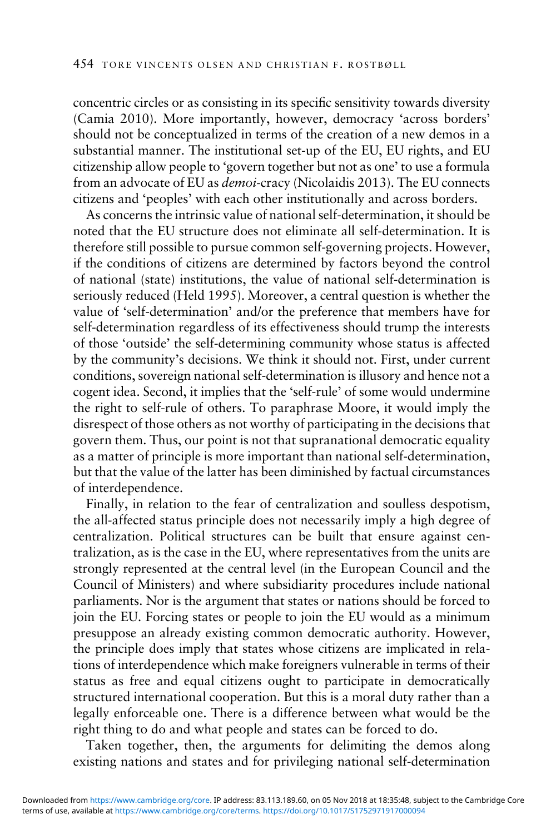concentric circles or as consisting in its specific sensitivity towards diversity (Camia [2010\)](#page-26-0). More importantly, however, democracy 'across borders' should not be conceptualized in terms of the creation of a new demos in a substantial manner. The institutional set-up of the EU, EU rights, and EU citizenship allow people to 'govern together but not as one' to use a formula from an advocate of EU as demoi-cracy (Nicolaidis [2013\)](#page-28-0). The EU connects citizens and 'peoples' with each other institutionally and across borders.

As concerns the intrinsic value of national self-determination, it should be noted that the EU structure does not eliminate all self-determination. It is therefore still possible to pursue common self-governing projects. However, if the conditions of citizens are determined by factors beyond the control of national (state) institutions, the value of national self-determination is seriously reduced (Held [1995\)](#page-27-0). Moreover, a central question is whether the value of 'self-determination' and/or the preference that members have for self-determination regardless of its effectiveness should trump the interests of those 'outside' the self-determining community whose status is affected by the community's decisions. We think it should not. First, under current conditions, sovereign national self-determination is illusory and hence not a cogent idea. Second, it implies that the 'self-rule' of some would undermine the right to self-rule of others. To paraphrase Moore, it would imply the disrespect of those others as not worthy of participating in the decisions that govern them. Thus, our point is not that supranational democratic equality as a matter of principle is more important than national self-determination, but that the value of the latter has been diminished by factual circumstances of interdependence.

Finally, in relation to the fear of centralization and soulless despotism, the all-affected status principle does not necessarily imply a high degree of centralization. Political structures can be built that ensure against centralization, as is the case in the EU, where representatives from the units are strongly represented at the central level (in the European Council and the Council of Ministers) and where subsidiarity procedures include national parliaments. Nor is the argument that states or nations should be forced to join the EU. Forcing states or people to join the EU would as a minimum presuppose an already existing common democratic authority. However, the principle does imply that states whose citizens are implicated in relations of interdependence which make foreigners vulnerable in terms of their status as free and equal citizens ought to participate in democratically structured international cooperation. But this is a moral duty rather than a legally enforceable one. There is a difference between what would be the right thing to do and what people and states can be forced to do.

Taken together, then, the arguments for delimiting the demos along existing nations and states and for privileging national self-determination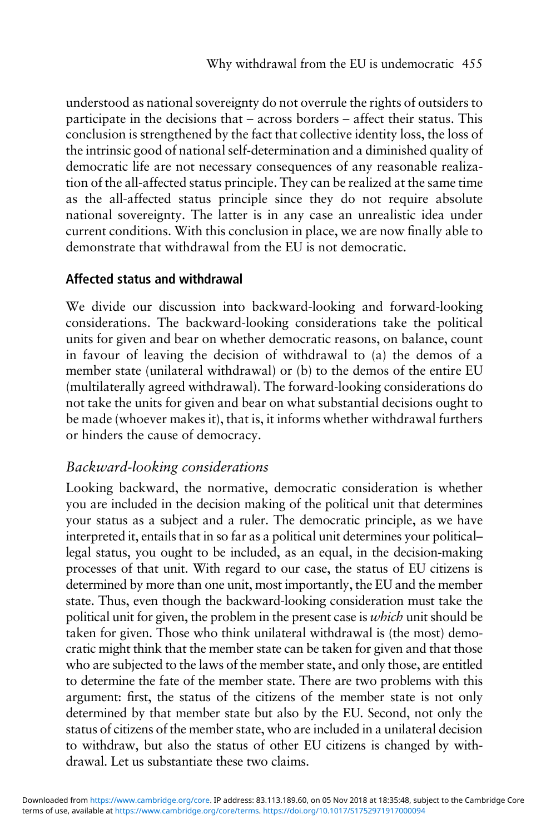understood as national sovereignty do not overrule the rights of outsiders to participate in the decisions that – across borders – affect their status. This conclusion is strengthened by the fact that collective identity loss, the loss of the intrinsic good of national self-determination and a diminished quality of democratic life are not necessary consequences of any reasonable realization of the all-affected status principle. They can be realized at the same time as the all-affected status principle since they do not require absolute national sovereignty. The latter is in any case an unrealistic idea under current conditions. With this conclusion in place, we are now finally able to demonstrate that withdrawal from the EU is not democratic.

## Affected status and withdrawal

We divide our discussion into backward-looking and forward-looking considerations. The backward-looking considerations take the political units for given and bear on whether democratic reasons, on balance, count in favour of leaving the decision of withdrawal to (a) the demos of a member state (unilateral withdrawal) or (b) to the demos of the entire EU (multilaterally agreed withdrawal). The forward-looking considerations do not take the units for given and bear on what substantial decisions ought to be made (whoever makes it), that is, it informs whether withdrawal furthers or hinders the cause of democracy.

## Backward-looking considerations

Looking backward, the normative, democratic consideration is whether you are included in the decision making of the political unit that determines your status as a subject and a ruler. The democratic principle, as we have interpreted it, entails that in so far as a political unit determines your political– legal status, you ought to be included, as an equal, in the decision-making processes of that unit. With regard to our case, the status of EU citizens is determined by more than one unit, most importantly, the EU and the member state. Thus, even though the backward-looking consideration must take the political unit for given, the problem in the present case is which unit should be taken for given. Those who think unilateral withdrawal is (the most) democratic might think that the member state can be taken for given and that those who are subjected to the laws of the member state, and only those, are entitled to determine the fate of the member state. There are two problems with this argument: first, the status of the citizens of the member state is not only determined by that member state but also by the EU. Second, not only the status of citizens of the member state, who are included in a unilateral decision to withdraw, but also the status of other EU citizens is changed by withdrawal. Let us substantiate these two claims.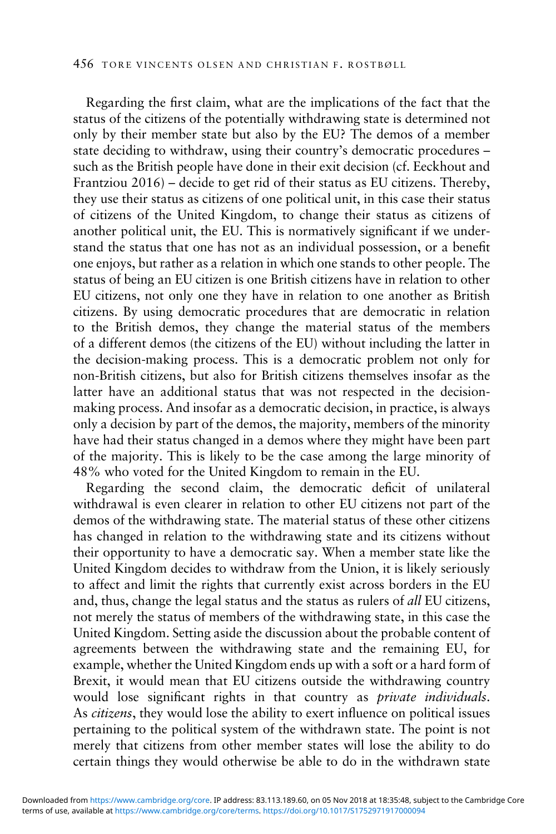Regarding the first claim, what are the implications of the fact that the status of the citizens of the potentially withdrawing state is determined not only by their member state but also by the EU? The demos of a member state deciding to withdraw, using their country's democratic procedures – such as the British people have done in their exit decision (cf. Eeckhout and Frantziou [2016](#page-27-0)) – decide to get rid of their status as EU citizens. Thereby, they use their status as citizens of one political unit, in this case their status of citizens of the United Kingdom, to change their status as citizens of another political unit, the EU. This is normatively significant if we understand the status that one has not as an individual possession, or a benefit one enjoys, but rather as a relation in which one stands to other people. The status of being an EU citizen is one British citizens have in relation to other EU citizens, not only one they have in relation to one another as British citizens. By using democratic procedures that are democratic in relation to the British demos, they change the material status of the members of a different demos (the citizens of the EU) without including the latter in the decision-making process. This is a democratic problem not only for non-British citizens, but also for British citizens themselves insofar as the latter have an additional status that was not respected in the decisionmaking process. And insofar as a democratic decision, in practice, is always only a decision by part of the demos, the majority, members of the minority have had their status changed in a demos where they might have been part of the majority. This is likely to be the case among the large minority of 48% who voted for the United Kingdom to remain in the EU.

Regarding the second claim, the democratic deficit of unilateral withdrawal is even clearer in relation to other EU citizens not part of the demos of the withdrawing state. The material status of these other citizens has changed in relation to the withdrawing state and its citizens without their opportunity to have a democratic say. When a member state like the United Kingdom decides to withdraw from the Union, it is likely seriously to affect and limit the rights that currently exist across borders in the EU and, thus, change the legal status and the status as rulers of all EU citizens, not merely the status of members of the withdrawing state, in this case the United Kingdom. Setting aside the discussion about the probable content of agreements between the withdrawing state and the remaining EU, for example, whether the United Kingdom ends up with a soft or a hard form of Brexit, it would mean that EU citizens outside the withdrawing country would lose significant rights in that country as private individuals. As citizens, they would lose the ability to exert influence on political issues pertaining to the political system of the withdrawn state. The point is not merely that citizens from other member states will lose the ability to do certain things they would otherwise be able to do in the withdrawn state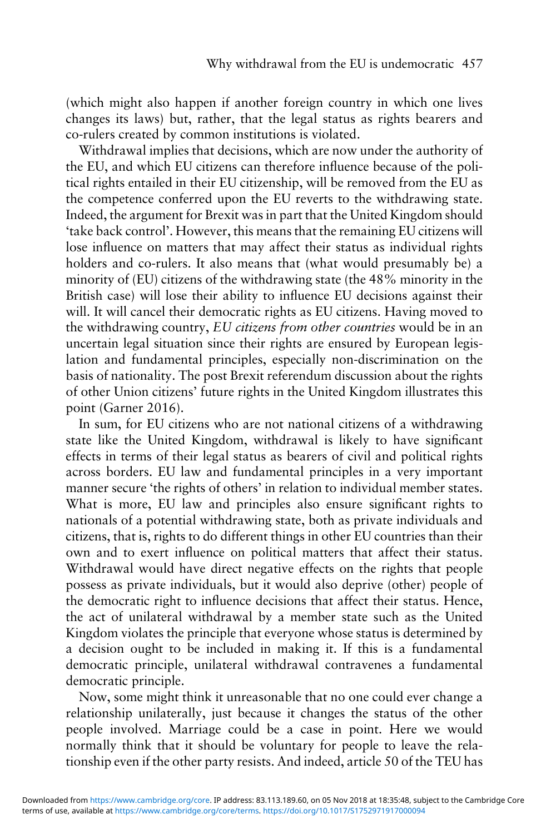(which might also happen if another foreign country in which one lives changes its laws) but, rather, that the legal status as rights bearers and co-rulers created by common institutions is violated.

Withdrawal implies that decisions, which are now under the authority of the EU, and which EU citizens can therefore influence because of the political rights entailed in their EU citizenship, will be removed from the EU as the competence conferred upon the EU reverts to the withdrawing state. Indeed, the argument for Brexit was in part that the United Kingdom should 'take back control'. However, this means that the remaining EU citizens will lose influence on matters that may affect their status as individual rights holders and co-rulers. It also means that (what would presumably be) a minority of (EU) citizens of the withdrawing state (the 48% minority in the British case) will lose their ability to influence EU decisions against their will. It will cancel their democratic rights as EU citizens. Having moved to the withdrawing country, EU citizens from other countries would be in an uncertain legal situation since their rights are ensured by European legislation and fundamental principles, especially non-discrimination on the basis of nationality. The post Brexit referendum discussion about the rights of other Union citizens' future rights in the United Kingdom illustrates this point (Garner [2016](#page-27-0)).

In sum, for EU citizens who are not national citizens of a withdrawing state like the United Kingdom, withdrawal is likely to have significant effects in terms of their legal status as bearers of civil and political rights across borders. EU law and fundamental principles in a very important manner secure 'the rights of others' in relation to individual member states. What is more, EU law and principles also ensure significant rights to nationals of a potential withdrawing state, both as private individuals and citizens, that is, rights to do different things in other EU countries than their own and to exert influence on political matters that affect their status. Withdrawal would have direct negative effects on the rights that people possess as private individuals, but it would also deprive (other) people of the democratic right to influence decisions that affect their status. Hence, the act of unilateral withdrawal by a member state such as the United Kingdom violates the principle that everyone whose status is determined by a decision ought to be included in making it. If this is a fundamental democratic principle, unilateral withdrawal contravenes a fundamental democratic principle.

Now, some might think it unreasonable that no one could ever change a relationship unilaterally, just because it changes the status of the other people involved. Marriage could be a case in point. Here we would normally think that it should be voluntary for people to leave the relationship even if the other party resists. And indeed, article 50 of the TEU has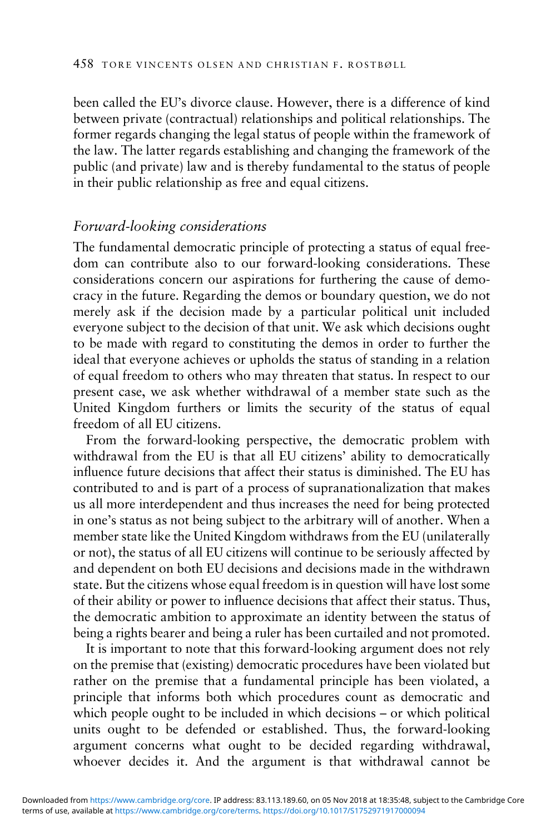been called the EU's divorce clause. However, there is a difference of kind between private (contractual) relationships and political relationships. The former regards changing the legal status of people within the framework of the law. The latter regards establishing and changing the framework of the public (and private) law and is thereby fundamental to the status of people in their public relationship as free and equal citizens.

## Forward-looking considerations

The fundamental democratic principle of protecting a status of equal freedom can contribute also to our forward-looking considerations. These considerations concern our aspirations for furthering the cause of democracy in the future. Regarding the demos or boundary question, we do not merely ask if the decision made by a particular political unit included everyone subject to the decision of that unit. We ask which decisions ought to be made with regard to constituting the demos in order to further the ideal that everyone achieves or upholds the status of standing in a relation of equal freedom to others who may threaten that status. In respect to our present case, we ask whether withdrawal of a member state such as the United Kingdom furthers or limits the security of the status of equal freedom of all EU citizens.

From the forward-looking perspective, the democratic problem with withdrawal from the EU is that all EU citizens' ability to democratically influence future decisions that affect their status is diminished. The EU has contributed to and is part of a process of supranationalization that makes us all more interdependent and thus increases the need for being protected in one's status as not being subject to the arbitrary will of another. When a member state like the United Kingdom withdraws from the EU (unilaterally or not), the status of all EU citizens will continue to be seriously affected by and dependent on both EU decisions and decisions made in the withdrawn state. But the citizens whose equal freedom is in question will have lost some of their ability or power to influence decisions that affect their status. Thus, the democratic ambition to approximate an identity between the status of being a rights bearer and being a ruler has been curtailed and not promoted.

It is important to note that this forward-looking argument does not rely on the premise that (existing) democratic procedures have been violated but rather on the premise that a fundamental principle has been violated, a principle that informs both which procedures count as democratic and which people ought to be included in which decisions – or which political units ought to be defended or established. Thus, the forward-looking argument concerns what ought to be decided regarding withdrawal, whoever decides it. And the argument is that withdrawal cannot be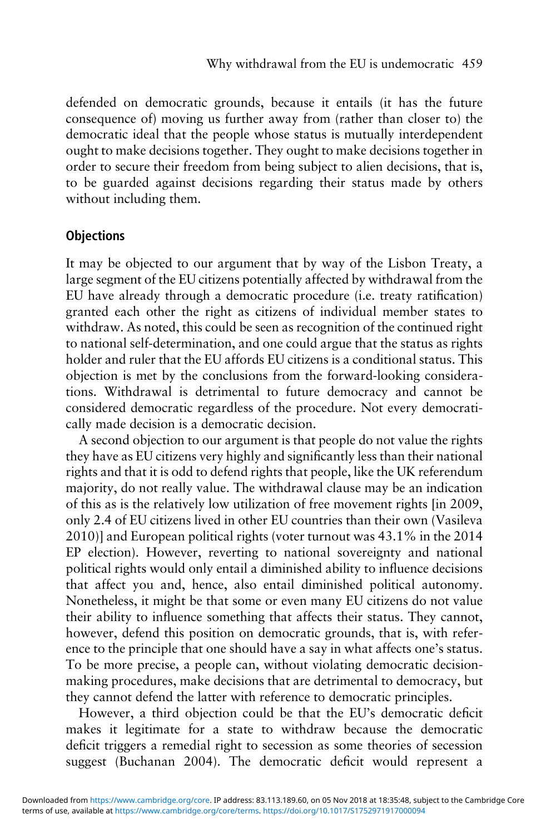defended on democratic grounds, because it entails (it has the future consequence of) moving us further away from (rather than closer to) the democratic ideal that the people whose status is mutually interdependent ought to make decisions together. They ought to make decisions together in order to secure their freedom from being subject to alien decisions, that is, to be guarded against decisions regarding their status made by others without including them.

## **Objections**

It may be objected to our argument that by way of the Lisbon Treaty, a large segment of the EU citizens potentially affected by withdrawal from the EU have already through a democratic procedure (i.e. treaty ratification) granted each other the right as citizens of individual member states to withdraw. As noted, this could be seen as recognition of the continued right to national self-determination, and one could argue that the status as rights holder and ruler that the EU affords EU citizens is a conditional status. This objection is met by the conclusions from the forward-looking considerations. Withdrawal is detrimental to future democracy and cannot be considered democratic regardless of the procedure. Not every democratically made decision is a democratic decision.

A second objection to our argument is that people do not value the rights they have as EU citizens very highly and significantly less than their national rights and that it is odd to defend rights that people, like the UK referendum majority, do not really value. The withdrawal clause may be an indication of this as is the relatively low utilization of free movement rights [in 2009, only 2.4 of EU citizens lived in other EU countries than their own (Vasileva [2010\)](#page-29-0)] and European political rights (voter turnout was 43.1% in the 2014 EP election). However, reverting to national sovereignty and national political rights would only entail a diminished ability to influence decisions that affect you and, hence, also entail diminished political autonomy. Nonetheless, it might be that some or even many EU citizens do not value their ability to influence something that affects their status. They cannot, however, defend this position on democratic grounds, that is, with reference to the principle that one should have a say in what affects one's status. To be more precise, a people can, without violating democratic decisionmaking procedures, make decisions that are detrimental to democracy, but they cannot defend the latter with reference to democratic principles.

However, a third objection could be that the EU's democratic deficit makes it legitimate for a state to withdraw because the democratic deficit triggers a remedial right to secession as some theories of secession suggest (Buchanan [2004\)](#page-26-0). The democratic deficit would represent a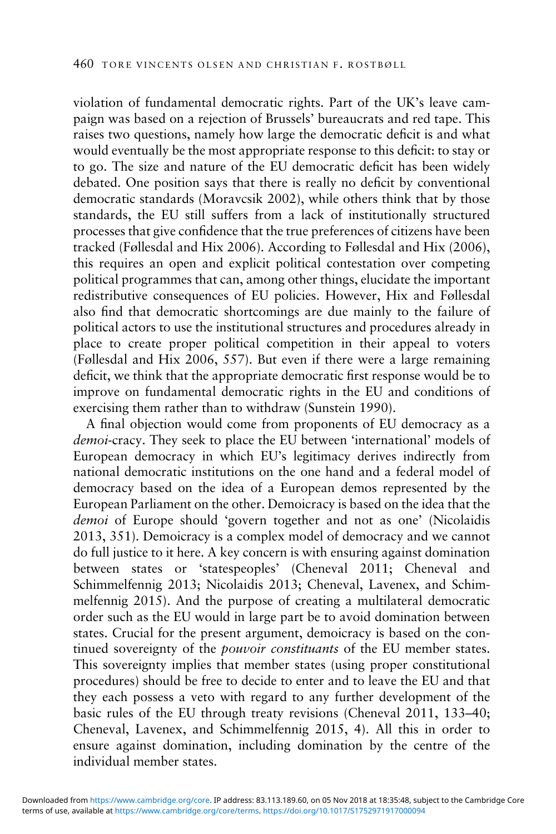violation of fundamental democratic rights. Part of the UK's leave campaign was based on a rejection of Brussels' bureaucrats and red tape. This raises two questions, namely how large the democratic deficit is and what would eventually be the most appropriate response to this deficit: to stay or to go. The size and nature of the EU democratic deficit has been widely debated. One position says that there is really no deficit by conventional democratic standards (Moravcsik [2002\)](#page-28-0), while others think that by those standards, the EU still suffers from a lack of institutionally structured processes that give confidence that the true preferences of citizens have been tracked (Føllesdal and Hix [2006\)](#page-27-0). According to Føllesdal and Hix [\(2006\)](#page-27-0), this requires an open and explicit political contestation over competing political programmes that can, among other things, elucidate the important redistributive consequences of EU policies. However, Hix and Føllesdal also find that democratic shortcomings are due mainly to the failure of political actors to use the institutional structures and procedures already in place to create proper political competition in their appeal to voters (Føllesdal and Hix [2006](#page-27-0), 557). But even if there were a large remaining deficit, we think that the appropriate democratic first response would be to improve on fundamental democratic rights in the EU and conditions of exercising them rather than to withdraw (Sunstein [1990\)](#page-29-0).

A final objection would come from proponents of EU democracy as a demoi-cracy. They seek to place the EU between 'international' models of European democracy in which EU's legitimacy derives indirectly from national democratic institutions on the one hand and a federal model of democracy based on the idea of a European demos represented by the European Parliament on the other. Demoicracy is based on the idea that the demoi of Europe should 'govern together and not as one' (Nicolaidis [2013](#page-28-0), 351). Demoicracy is a complex model of democracy and we cannot do full justice to it here. A key concern is with ensuring against domination between states or 'statespeoples' (Cheneval [2011](#page-26-0); Cheneval and Schimmelfennig [2013;](#page-26-0) Nicolaidis [2013;](#page-28-0) Cheneval, Lavenex, and Schimmelfennig [2015](#page-26-0)). And the purpose of creating a multilateral democratic order such as the EU would in large part be to avoid domination between states. Crucial for the present argument, demoicracy is based on the continued sovereignty of the pouvoir constituants of the EU member states. This sovereignty implies that member states (using proper constitutional procedures) should be free to decide to enter and to leave the EU and that they each possess a veto with regard to any further development of the basic rules of the EU through treaty revisions (Cheneval [2011,](#page-26-0) 133–40; Cheneval, Lavenex, and Schimmelfennig [2015,](#page-26-0) 4). All this in order to ensure against domination, including domination by the centre of the individual member states.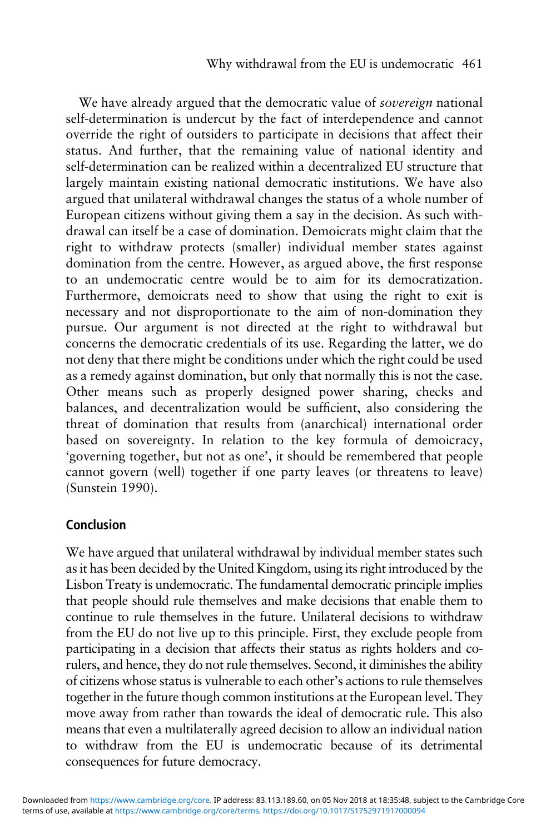We have already argued that the democratic value of *sovereign* national self-determination is undercut by the fact of interdependence and cannot override the right of outsiders to participate in decisions that affect their status. And further, that the remaining value of national identity and self-determination can be realized within a decentralized EU structure that largely maintain existing national democratic institutions. We have also argued that unilateral withdrawal changes the status of a whole number of European citizens without giving them a say in the decision. As such withdrawal can itself be a case of domination. Demoicrats might claim that the right to withdraw protects (smaller) individual member states against domination from the centre. However, as argued above, the first response to an undemocratic centre would be to aim for its democratization. Furthermore, demoicrats need to show that using the right to exit is necessary and not disproportionate to the aim of non-domination they pursue. Our argument is not directed at the right to withdrawal but concerns the democratic credentials of its use. Regarding the latter, we do not deny that there might be conditions under which the right could be used as a remedy against domination, but only that normally this is not the case. Other means such as properly designed power sharing, checks and balances, and decentralization would be sufficient, also considering the threat of domination that results from (anarchical) international order based on sovereignty. In relation to the key formula of demoicracy, 'governing together, but not as one', it should be remembered that people cannot govern (well) together if one party leaves (or threatens to leave) (Sunstein [1990](#page-29-0)).

## Conclusion

We have argued that unilateral withdrawal by individual member states such as it has been decided by the United Kingdom, using its right introduced by the Lisbon Treaty is undemocratic. The fundamental democratic principle implies that people should rule themselves and make decisions that enable them to continue to rule themselves in the future. Unilateral decisions to withdraw from the EU do not live up to this principle. First, they exclude people from participating in a decision that affects their status as rights holders and corulers, and hence, they do not rule themselves. Second, it diminishes the ability of citizens whose status is vulnerable to each other's actions to rule themselves together in the future though common institutions at the European level. They move away from rather than towards the ideal of democratic rule. This also means that even a multilaterally agreed decision to allow an individual nation to withdraw from the EU is undemocratic because of its detrimental consequences for future democracy.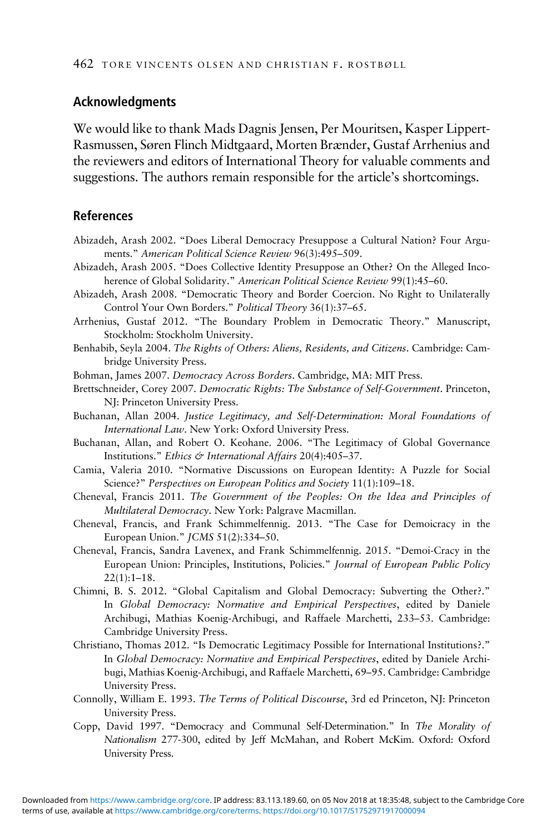## <span id="page-26-0"></span>Acknowledgments

We would like to thank Mads Dagnis Jensen, Per Mouritsen, Kasper Lippert-Rasmussen, Søren Flinch Midtgaard, Morten Brænder, Gustaf Arrhenius and the reviewers and editors of International Theory for valuable comments and suggestions. The authors remain responsible for the article's shortcomings.

## References

- Abizadeh, Arash 2002. "Does Liberal Democracy Presuppose a Cultural Nation? Four Arguments." American Political Science Review 96(3):495–509.
- Abizadeh, Arash 2005. "Does Collective Identity Presuppose an Other? On the Alleged Incoherence of Global Solidarity." American Political Science Review 99(1):45-60.
- Abizadeh, Arash 2008. "Democratic Theory and Border Coercion. No Right to Unilaterally Control Your Own Borders." Political Theory 36(1):37–65.
- Arrhenius, Gustaf 2012. "The Boundary Problem in Democratic Theory." Manuscript, Stockholm: Stockholm University.
- Benhabib, Seyla 2004. The Rights of Others: Aliens, Residents, and Citizens. Cambridge: Cambridge University Press.
- Bohman, James 2007. Democracy Across Borders. Cambridge, MA: MIT Press.
- Brettschneider, Corey 2007. Democratic Rights: The Substance of Self-Government. Princeton, NJ: Princeton University Press.
- Buchanan, Allan 2004. Justice Legitimacy, and Self-Determination: Moral Foundations of International Law. New York: Oxford University Press.
- Buchanan, Allan, and Robert O. Keohane. 2006. "The Legitimacy of Global Governance Institutions." Ethics & International Affairs 20(4):405-37.
- Camia, Valeria 2010. "Normative Discussions on European Identity: A Puzzle for Social Science?" Perspectives on European Politics and Society 11(1):109–18.
- Cheneval, Francis 2011. The Government of the Peoples: On the Idea and Principles of Multilateral Democracy. New York: Palgrave Macmillan.
- Cheneval, Francis, and Frank Schimmelfennig. 2013. "The Case for Demoicracy in the European Union." JCMS 51(2):334–50.
- Cheneval, Francis, Sandra Lavenex, and Frank Schimmelfennig. 2015. "Demoi-Cracy in the European Union: Principles, Institutions, Policies." Journal of European Public Policy 22(1):1–18.
- Chimni, B. S. 2012. "Global Capitalism and Global Democracy: Subverting the Other?." In Global Democracy: Normative and Empirical Perspectives, edited by Daniele Archibugi, Mathias Koenig-Archibugi, and Raffaele Marchetti, 233–53. Cambridge: Cambridge University Press.
- Christiano, Thomas 2012. "Is Democratic Legitimacy Possible for International Institutions?." In Global Democracy: Normative and Empirical Perspectives, edited by Daniele Archibugi, Mathias Koenig-Archibugi, and Raffaele Marchetti, 69–95. Cambridge: Cambridge University Press.
- Connolly, William E. 1993. The Terms of Political Discourse, 3rd ed Princeton, NJ: Princeton University Press.
- Copp, David 1997. "Democracy and Communal Self-Determination." In The Morality of Nationalism 277-300, edited by Jeff McMahan, and Robert McKim. Oxford: Oxford University Press.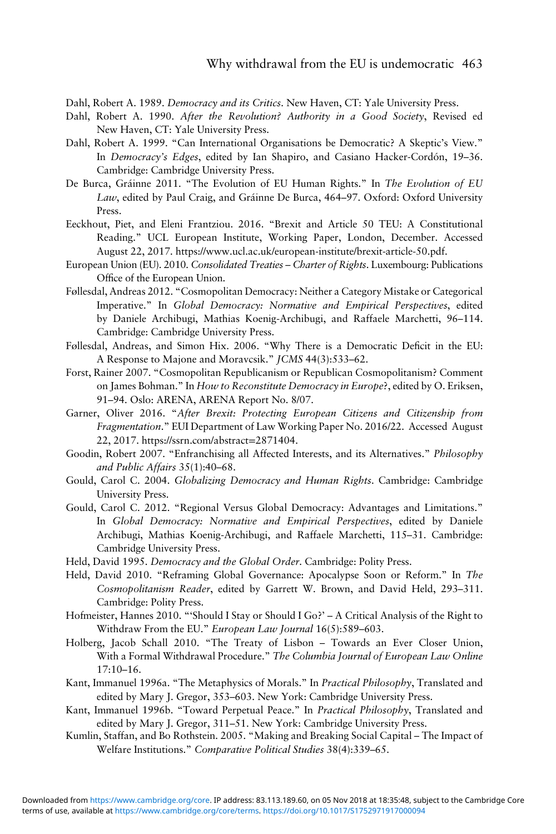<span id="page-27-0"></span>Dahl, Robert A. 1989. Democracy and its Critics. New Haven, CT: Yale University Press.

- Dahl, Robert A. 1990. After the Revolution? Authority in a Good Society, Revised ed New Haven, CT: Yale University Press.
- Dahl, Robert A. 1999. "Can International Organisations be Democratic? A Skeptic's View." In Democracy's Edges, edited by Ian Shapiro, and Casiano Hacker-Cordón, 19–36. Cambridge: Cambridge University Press.
- De Burca, Gráinne 2011. "The Evolution of EU Human Rights." In The Evolution of EU Law, edited by Paul Craig, and Gráinne De Burca, 464–97. Oxford: Oxford University Press.
- Eeckhout, Piet, and Eleni Frantziou. 2016. "Brexit and Article 50 TEU: A Constitutional Reading." UCL European Institute, Working Paper, London, December. Accessed August 22, 2017. [https://www.ucl.ac.uk/european-institute/brexit-article-50.pdf.](https://www.ucl.ac.uk/european-institute/brexit-article-50.pdf)
- European Union (EU). 2010. Consolidated Treaties Charter of Rights. Luxembourg: Publications Office of the European Union.
- Føllesdal, Andreas 2012. "Cosmopolitan Democracy: Neither a Category Mistake or Categorical Imperative." In Global Democracy: Normative and Empirical Perspectives, edited by Daniele Archibugi, Mathias Koenig-Archibugi, and Raffaele Marchetti, 96–114. Cambridge: Cambridge University Press.
- Føllesdal, Andreas, and Simon Hix. 2006. "Why There is a Democratic Deficit in the EU: A Response to Majone and Moravcsik." JCMS 44(3):533–62.
- Forst, Rainer 2007. "Cosmopolitan Republicanism or Republican Cosmopolitanism? Comment on James Bohman." In How to Reconstitute Democracy in Europe?, edited by O. Eriksen, 91–94. Oslo: ARENA, ARENA Report No. 8/07.
- Garner, Oliver 2016. "After Brexit: Protecting European Citizens and Citizenship from Fragmentation." EUI Department of Law Working Paper No. 2016/22. Accessed August 22, 2017. [https://ssrn.com/abstract](https://ssrn.com/abstract=2871404)=2871404.
- Goodin, Robert 2007. "Enfranchising all Affected Interests, and its Alternatives." Philosophy and Public Affairs 35(1):40–68.
- Gould, Carol C. 2004. Globalizing Democracy and Human Rights. Cambridge: Cambridge University Press.
- Gould, Carol C. 2012. "Regional Versus Global Democracy: Advantages and Limitations." In Global Democracy: Normative and Empirical Perspectives, edited by Daniele Archibugi, Mathias Koenig-Archibugi, and Raffaele Marchetti, 115–31. Cambridge: Cambridge University Press.
- Held, David 1995. Democracy and the Global Order. Cambridge: Polity Press.
- Held, David 2010. "Reframing Global Governance: Apocalypse Soon or Reform." In The Cosmopolitanism Reader, edited by Garrett W. Brown, and David Held, 293–311. Cambridge: Polity Press.
- Hofmeister, Hannes 2010. "'Should I Stay or Should I Go?' A Critical Analysis of the Right to Withdraw From the EU." European Law Journal 16(5):589–603.
- Holberg, Jacob Schall 2010. "The Treaty of Lisbon Towards an Ever Closer Union, With a Formal Withdrawal Procedure." The Columbia Journal of European Law Online 17:10–16.
- Kant, Immanuel 1996a. "The Metaphysics of Morals." In Practical Philosophy, Translated and edited by Mary J. Gregor, 353–603. New York: Cambridge University Press.
- Kant, Immanuel 1996b. "Toward Perpetual Peace." In Practical Philosophy, Translated and edited by Mary J. Gregor, 311–51. New York: Cambridge University Press.
- Kumlin, Staffan, and Bo Rothstein. 2005. "Making and Breaking Social Capital The Impact of Welfare Institutions." Comparative Political Studies 38(4):339–65.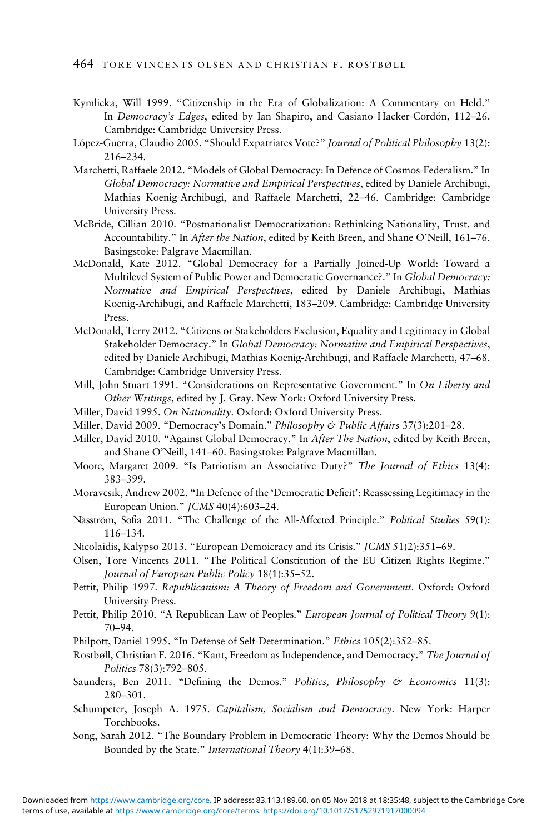- <span id="page-28-0"></span>Kymlicka, Will 1999. "Citizenship in the Era of Globalization: A Commentary on Held." In Democracy's Edges, edited by Ian Shapiro, and Casiano Hacker-Cordón, 112–26. Cambridge: Cambridge University Press.
- López-Guerra, Claudio 2005. "Should Expatriates Vote?" Journal of Political Philosophy 13(2): 216–234.
- Marchetti, Raffaele 2012. "Models of Global Democracy: In Defence of Cosmos-Federalism." In Global Democracy: Normative and Empirical Perspectives, edited by Daniele Archibugi, Mathias Koenig-Archibugi, and Raffaele Marchetti, 22–46. Cambridge: Cambridge University Press.
- McBride, Cillian 2010. "Postnationalist Democratization: Rethinking Nationality, Trust, and Accountability." In After the Nation, edited by Keith Breen, and Shane O'Neill, 161–76. Basingstoke: Palgrave Macmillan.
- McDonald, Kate 2012. "Global Democracy for a Partially Joined-Up World: Toward a Multilevel System of Public Power and Democratic Governance?." In Global Democracy: Normative and Empirical Perspectives, edited by Daniele Archibugi, Mathias Koenig-Archibugi, and Raffaele Marchetti, 183–209. Cambridge: Cambridge University Press.
- McDonald, Terry 2012. "Citizens or Stakeholders Exclusion, Equality and Legitimacy in Global Stakeholder Democracy." In Global Democracy: Normative and Empirical Perspectives, edited by Daniele Archibugi, Mathias Koenig-Archibugi, and Raffaele Marchetti, 47–68. Cambridge: Cambridge University Press.
- Mill, John Stuart 1991. "Considerations on Representative Government." In On Liberty and Other Writings, edited by J. Gray. New York: Oxford University Press.
- Miller, David 1995. On Nationality. Oxford: Oxford University Press.
- Miller, David 2009. "Democracy's Domain." Philosophy & Public Affairs 37(3):201–28.
- Miller, David 2010. "Against Global Democracy." In After The Nation, edited by Keith Breen, and Shane O'Neill, 141–60. Basingstoke: Palgrave Macmillan.
- Moore, Margaret 2009. "Is Patriotism an Associative Duty?" The Journal of Ethics 13(4): 383–399.
- Moravcsik, Andrew 2002. "In Defence of the 'Democratic Deficit': Reassessing Legitimacy in the European Union." JCMS 40(4):603–24.
- Näsström, Sofia 2011. "The Challenge of the All-Affected Principle." Political Studies 59(1): 116–134.
- Nicolaidis, Kalypso 2013. "European Demoicracy and its Crisis." JCMS 51(2):351–69.
- Olsen, Tore Vincents 2011. "The Political Constitution of the EU Citizen Rights Regime." Journal of European Public Policy 18(1):35–52.
- Pettit, Philip 1997. Republicanism: A Theory of Freedom and Government. Oxford: Oxford University Press.
- Pettit, Philip 2010. "A Republican Law of Peoples." European Journal of Political Theory 9(1): 70–94.
- Philpott, Daniel 1995. "In Defense of Self-Determination." Ethics 105(2):352–85.
- Rostbøll, Christian F. 2016. "Kant, Freedom as Independence, and Democracy." The Journal of Politics 78(3):792–805.
- Saunders, Ben 2011. "Defining the Demos." Politics, Philosophy & Economics 11(3): 280–301.
- Schumpeter, Joseph A. 1975. Capitalism, Socialism and Democracy. New York: Harper Torchbooks.
- Song, Sarah 2012. "The Boundary Problem in Democratic Theory: Why the Demos Should be Bounded by the State." International Theory 4(1):39–68.